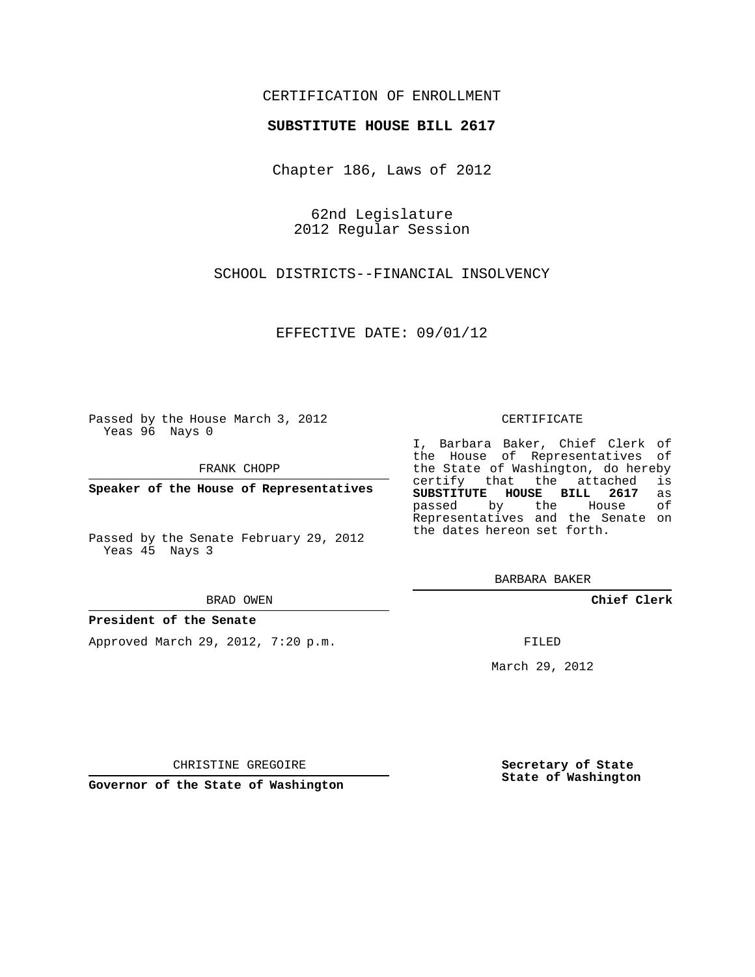# CERTIFICATION OF ENROLLMENT

### **SUBSTITUTE HOUSE BILL 2617**

Chapter 186, Laws of 2012

62nd Legislature 2012 Regular Session

SCHOOL DISTRICTS--FINANCIAL INSOLVENCY

EFFECTIVE DATE: 09/01/12

Passed by the House March 3, 2012 Yeas 96 Nays 0

FRANK CHOPP

**Speaker of the House of Representatives**

Passed by the Senate February 29, 2012 Yeas 45 Nays 3

#### BRAD OWEN

### **President of the Senate**

Approved March 29, 2012, 7:20 p.m.

#### CERTIFICATE

I, Barbara Baker, Chief Clerk of the House of Representatives of the State of Washington, do hereby<br>certify that the attached is certify that the attached **SUBSTITUTE HOUSE BILL 2617** as passed by the Representatives and the Senate on the dates hereon set forth.

BARBARA BAKER

**Chief Clerk**

FILED

March 29, 2012

**Secretary of State State of Washington**

CHRISTINE GREGOIRE

**Governor of the State of Washington**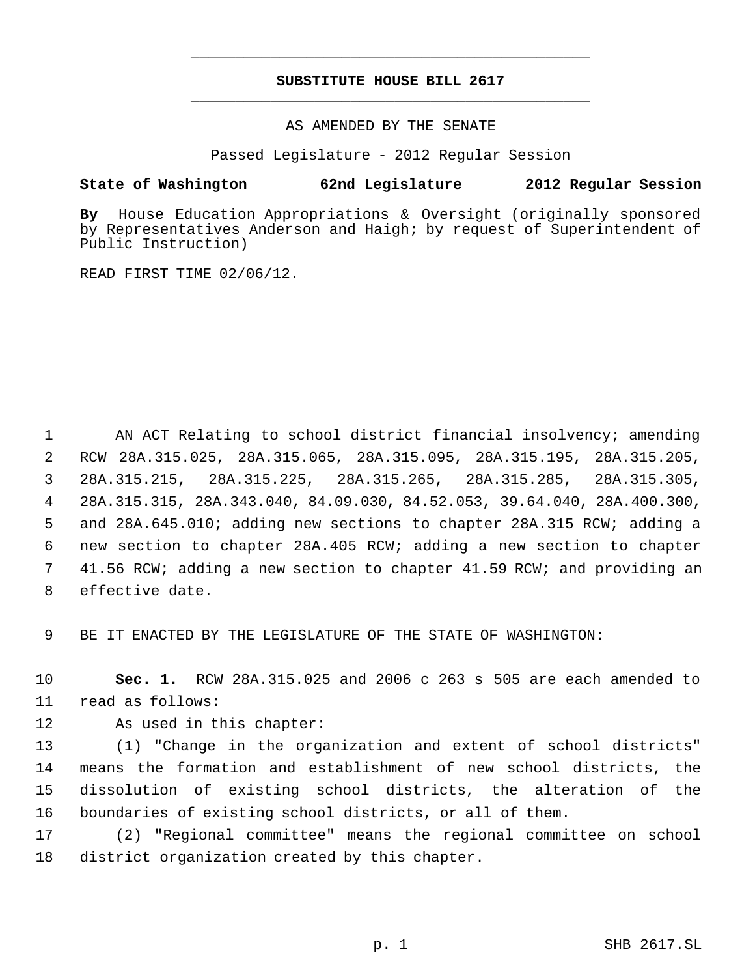# **SUBSTITUTE HOUSE BILL 2617** \_\_\_\_\_\_\_\_\_\_\_\_\_\_\_\_\_\_\_\_\_\_\_\_\_\_\_\_\_\_\_\_\_\_\_\_\_\_\_\_\_\_\_\_\_

\_\_\_\_\_\_\_\_\_\_\_\_\_\_\_\_\_\_\_\_\_\_\_\_\_\_\_\_\_\_\_\_\_\_\_\_\_\_\_\_\_\_\_\_\_

AS AMENDED BY THE SENATE

Passed Legislature - 2012 Regular Session

# **State of Washington 62nd Legislature 2012 Regular Session**

**By** House Education Appropriations & Oversight (originally sponsored by Representatives Anderson and Haigh; by request of Superintendent of Public Instruction)

READ FIRST TIME 02/06/12.

1 AN ACT Relating to school district financial insolvency; amending RCW 28A.315.025, 28A.315.065, 28A.315.095, 28A.315.195, 28A.315.205, 28A.315.215, 28A.315.225, 28A.315.265, 28A.315.285, 28A.315.305, 28A.315.315, 28A.343.040, 84.09.030, 84.52.053, 39.64.040, 28A.400.300, and 28A.645.010; adding new sections to chapter 28A.315 RCW; adding a new section to chapter 28A.405 RCW; adding a new section to chapter 41.56 RCW; adding a new section to chapter 41.59 RCW; and providing an effective date.

9 BE IT ENACTED BY THE LEGISLATURE OF THE STATE OF WASHINGTON:

10 **Sec. 1.** RCW 28A.315.025 and 2006 c 263 s 505 are each amended to 11 read as follows:

12 As used in this chapter:

 (1) "Change in the organization and extent of school districts" means the formation and establishment of new school districts, the dissolution of existing school districts, the alteration of the boundaries of existing school districts, or all of them.

17 (2) "Regional committee" means the regional committee on school 18 district organization created by this chapter.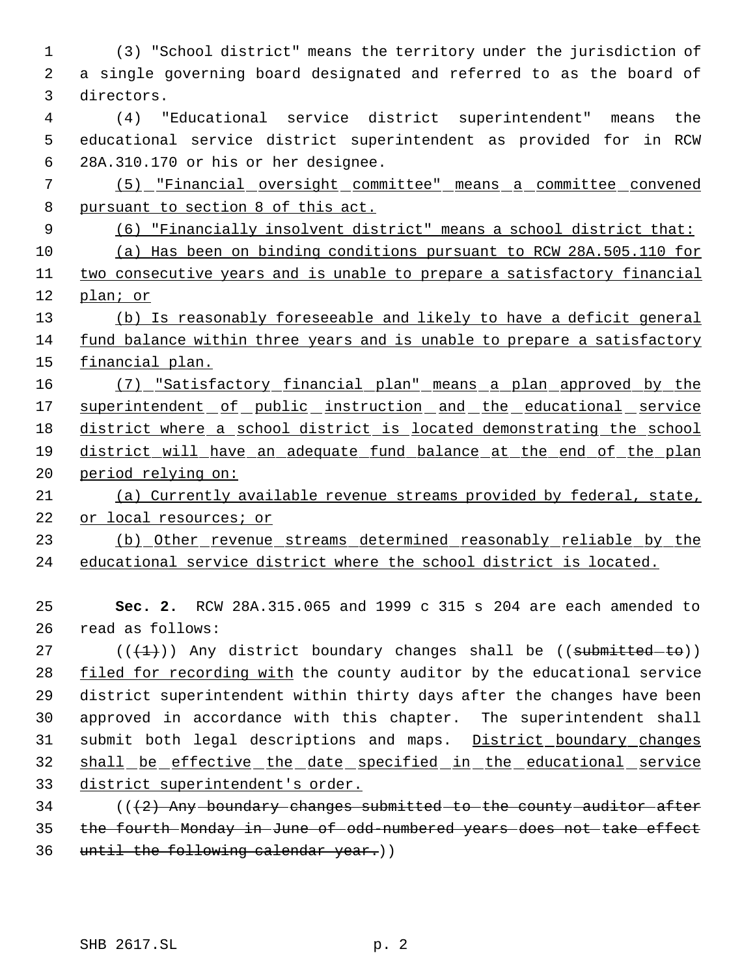(3) "School district" means the territory under the jurisdiction of a single governing board designated and referred to as the board of directors. (4) "Educational service district superintendent" means the educational service district superintendent as provided for in RCW 28A.310.170 or his or her designee. (5) "Financial oversight committee" means a committee convened 8 pursuant to section 8 of this act. (6) "Financially insolvent district" means a school district that: (a) Has been on binding conditions pursuant to RCW 28A.505.110 for two consecutive years and is unable to prepare a satisfactory financial plan; or (b) Is reasonably foreseeable and likely to have a deficit general fund balance within three years and is unable to prepare a satisfactory financial plan. (7) "Satisfactory financial plan" means a plan approved by the 17 superintendent of public instruction and the educational service 18 district where a school district is located demonstrating the school district will have an adequate fund balance at the end of the plan period relying on: (a) Currently available revenue streams provided by federal, state, or local resources; or (b) Other revenue streams determined reasonably reliable by the educational service district where the school district is located. **Sec. 2.** RCW 28A.315.065 and 1999 c 315 s 204 are each amended to read as follows:  $((+1))$  Any district boundary changes shall be  $((\text{submitted}-\text{to}))$  filed for recording with the county auditor by the educational service district superintendent within thirty days after the changes have been approved in accordance with this chapter. The superintendent shall submit both legal descriptions and maps. District boundary changes shall be effective the date specified in the educational service district superintendent's order. 34 (( $(2)$  Any boundary changes submitted to the county auditor after the fourth Monday in June of odd-numbered years does not take effect until the following calendar year.))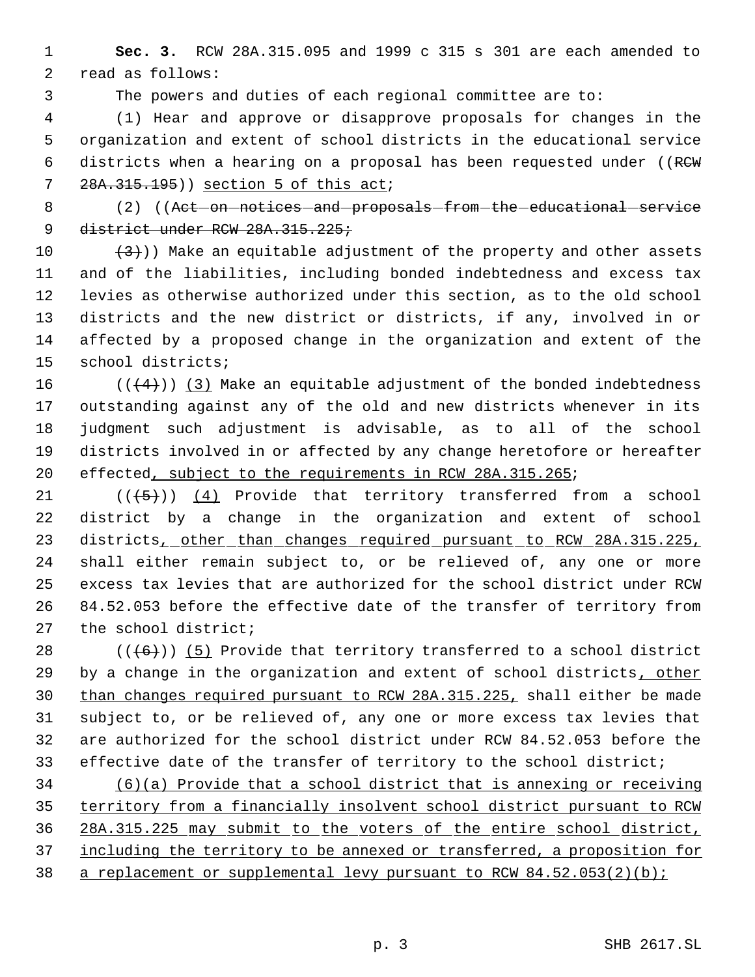**Sec. 3.** RCW 28A.315.095 and 1999 c 315 s 301 are each amended to read as follows:

The powers and duties of each regional committee are to:

 (1) Hear and approve or disapprove proposals for changes in the organization and extent of school districts in the educational service districts when a hearing on a proposal has been requested under ((RCW 7 28A.315.195)) section 5 of this act;

8 (2) ((Act on notices and proposals from the educational service 9 district under RCW 28A.315.225;

 $(3)$ ) Make an equitable adjustment of the property and other assets and of the liabilities, including bonded indebtedness and excess tax levies as otherwise authorized under this section, as to the old school districts and the new district or districts, if any, involved in or affected by a proposed change in the organization and extent of the school districts;

 $((\langle 4 \rangle) \rangle$  (3) Make an equitable adjustment of the bonded indebtedness outstanding against any of the old and new districts whenever in its judgment such adjustment is advisable, as to all of the school districts involved in or affected by any change heretofore or hereafter 20 effected, subject to the requirements in RCW 28A.315.265;

 $((\langle 5 \rangle)(4)$  Provide that territory transferred from a school district by a change in the organization and extent of school 23 districts, other than changes required pursuant to RCW 28A.315.225, shall either remain subject to, or be relieved of, any one or more excess tax levies that are authorized for the school district under RCW 84.52.053 before the effective date of the transfer of territory from the school district;

 $((+6))$  (5) Provide that territory transferred to a school district 29 by a change in the organization and extent of school districts, other than changes required pursuant to RCW 28A.315.225, shall either be made subject to, or be relieved of, any one or more excess tax levies that are authorized for the school district under RCW 84.52.053 before the effective date of the transfer of territory to the school district;

 (6)(a) Provide that a school district that is annexing or receiving territory from a financially insolvent school district pursuant to RCW 28A.315.225 may submit to the voters of the entire school district, including the territory to be annexed or transferred, a proposition for 38 a replacement or supplemental levy pursuant to RCW  $84.52.053(2)(b)$ ;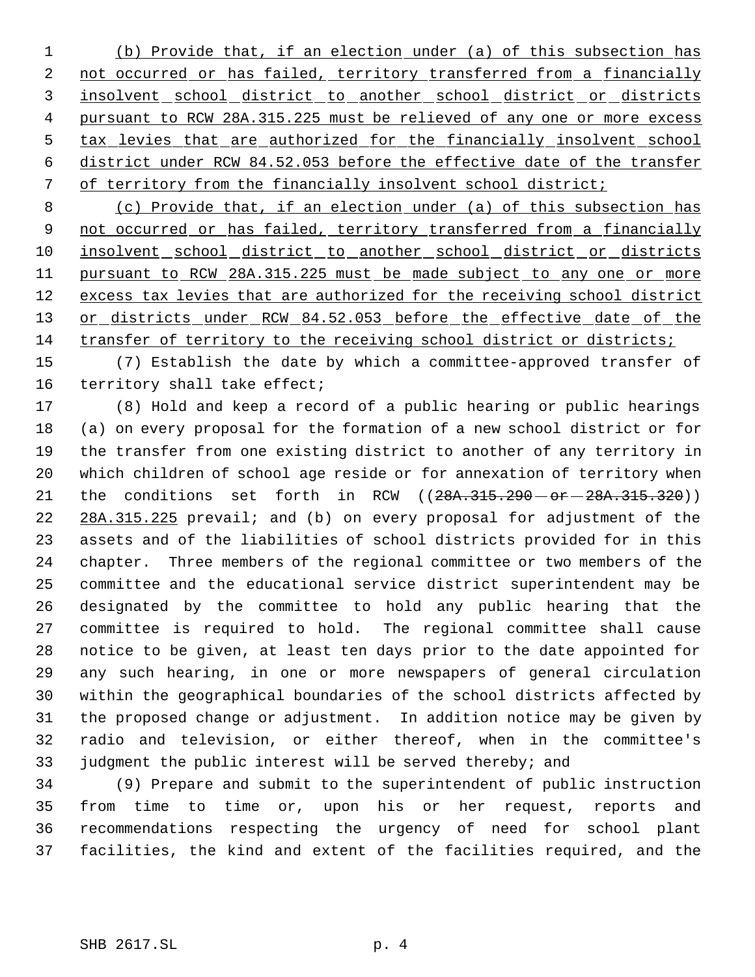(b) Provide that, if an election under (a) of this subsection has 2 not occurred or has failed, territory transferred from a financially insolvent school district to another school district or districts pursuant to RCW 28A.315.225 must be relieved of any one or more excess tax levies that are authorized for the financially insolvent school district under RCW 84.52.053 before the effective date of the transfer of territory from the financially insolvent school district;

 (c) Provide that, if an election under (a) of this subsection has 9 not occurred or has failed, territory transferred from a financially 10 insolvent school district to another school district or districts pursuant to RCW 28A.315.225 must be made subject to any one or more 12 excess tax levies that are authorized for the receiving school district 13 or districts under RCW 84.52.053 before the effective date of the 14 transfer of territory to the receiving school district or districts;

 (7) Establish the date by which a committee-approved transfer of territory shall take effect;

 (8) Hold and keep a record of a public hearing or public hearings (a) on every proposal for the formation of a new school district or for the transfer from one existing district to another of any territory in which children of school age reside or for annexation of territory when 21 the conditions set forth in RCW ((28A.315.290 - or - 28A.315.320)) 22 28A.315.225 prevail; and (b) on every proposal for adjustment of the assets and of the liabilities of school districts provided for in this chapter. Three members of the regional committee or two members of the committee and the educational service district superintendent may be designated by the committee to hold any public hearing that the committee is required to hold. The regional committee shall cause notice to be given, at least ten days prior to the date appointed for any such hearing, in one or more newspapers of general circulation within the geographical boundaries of the school districts affected by the proposed change or adjustment. In addition notice may be given by radio and television, or either thereof, when in the committee's judgment the public interest will be served thereby; and

 (9) Prepare and submit to the superintendent of public instruction from time to time or, upon his or her request, reports and recommendations respecting the urgency of need for school plant facilities, the kind and extent of the facilities required, and the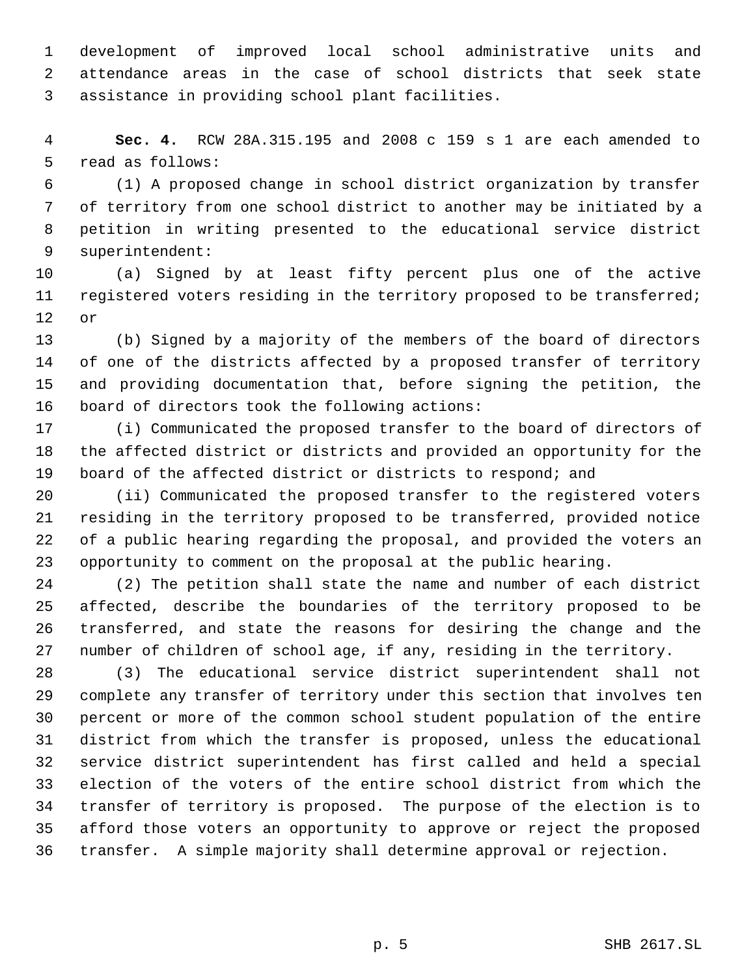development of improved local school administrative units and attendance areas in the case of school districts that seek state assistance in providing school plant facilities.

 **Sec. 4.** RCW 28A.315.195 and 2008 c 159 s 1 are each amended to read as follows:

 (1) A proposed change in school district organization by transfer of territory from one school district to another may be initiated by a petition in writing presented to the educational service district superintendent:

 (a) Signed by at least fifty percent plus one of the active 11 registered voters residing in the territory proposed to be transferred; or

 (b) Signed by a majority of the members of the board of directors of one of the districts affected by a proposed transfer of territory and providing documentation that, before signing the petition, the board of directors took the following actions:

 (i) Communicated the proposed transfer to the board of directors of the affected district or districts and provided an opportunity for the board of the affected district or districts to respond; and

 (ii) Communicated the proposed transfer to the registered voters residing in the territory proposed to be transferred, provided notice of a public hearing regarding the proposal, and provided the voters an opportunity to comment on the proposal at the public hearing.

 (2) The petition shall state the name and number of each district affected, describe the boundaries of the territory proposed to be transferred, and state the reasons for desiring the change and the number of children of school age, if any, residing in the territory.

 (3) The educational service district superintendent shall not complete any transfer of territory under this section that involves ten percent or more of the common school student population of the entire district from which the transfer is proposed, unless the educational service district superintendent has first called and held a special election of the voters of the entire school district from which the transfer of territory is proposed. The purpose of the election is to afford those voters an opportunity to approve or reject the proposed transfer. A simple majority shall determine approval or rejection.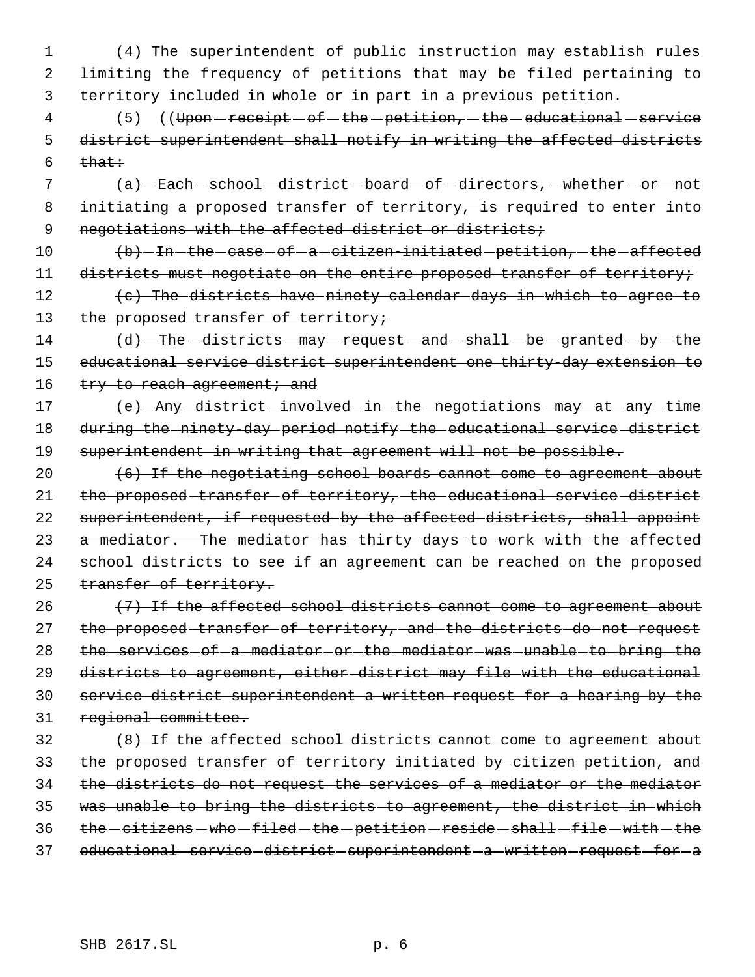1 (4) The superintendent of public instruction may establish rules 2 limiting the frequency of petitions that may be filed pertaining to 3 territory included in whole or in part in a previous petition.

4 (5) ((Upon - receipt - of - the - petition, - the - educational - service 5 district superintendent shall notify in writing the affected districts  $6$  that:

 $7$   $(a)$   $\text{Each}-\text{echoo1}-\text{distriet}-\text{board}-\text{of}-\text{direct}$ , whether  $-\text{or}-\text{not}$  8 initiating a proposed transfer of territory, is required to enter into 9 negotiations with the affected district or districts;

10 (b) - In - the - case - of - a - citizen-initiated - petition, - the - affected 11 districts must negotiate on the entire proposed transfer of territory;

12 (c) The districts have ninety calendar days in which to agree to 13 the proposed transfer of territory;

 $14$   $\left( d\right)$  - The -districts - may - request - and - shall - be - granted - by - the 15 educational service district superintendent one thirty-day extension to 16 try to reach agreement; and

17 (e) - Any - district - involved - in - the - negotiations - may - at - any - time 18 during the ninety-day period notify the educational service district 19 superintendent in writing that agreement will not be possible.

 $20$  (6) If the negotiating school boards cannot come to agreement about 21 the proposed transfer of territory, the educational service district 22 superintendent, if requested by the affected districts, shall appoint 23 a mediator. The mediator has thirty days to work with the affected 24 school districts to see if an agreement can be reached on the proposed 25 transfer of territory.

 (7) If the affected school districts cannot come to agreement about 27 the proposed transfer of territory, and the districts do not request 28 the services of a mediator or the mediator was unable to bring the districts to agreement, either district may file with the educational service district superintendent a written request for a hearing by the regional committee.

 (8) If the affected school districts cannot come to agreement about the proposed transfer of territory initiated by citizen petition, and the districts do not request the services of a mediator or the mediator was unable to bring the districts to agreement, the district in which 36 the -citizens - who -filed - the -petition - reside - shall -file - with - the 37 educational-service-district-superintendent-a-written-request-for-a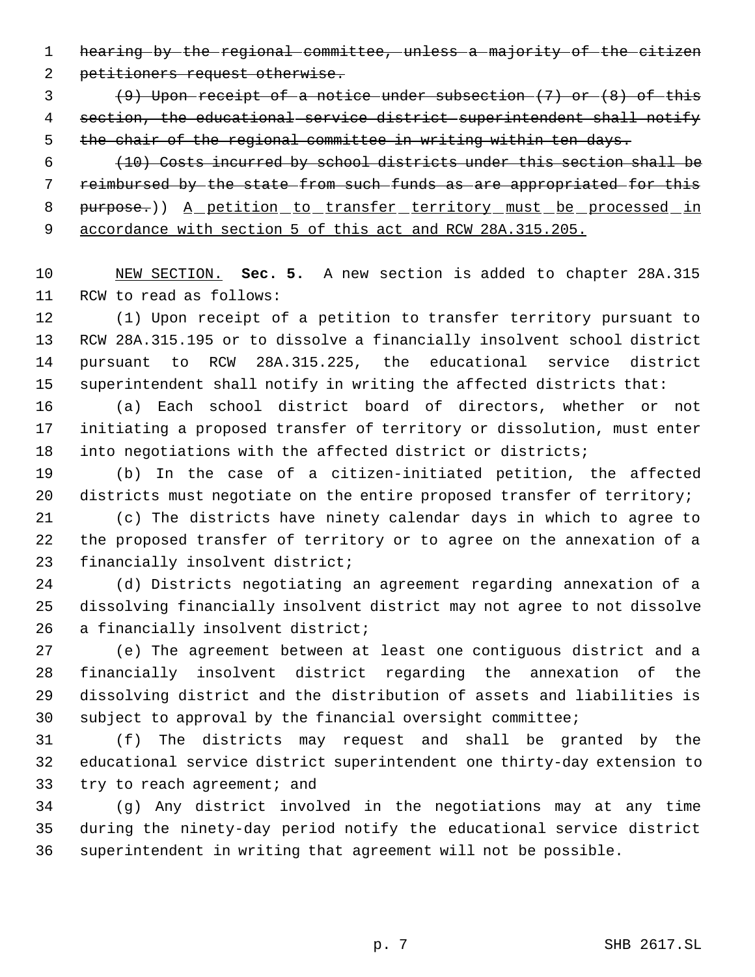hearing by the regional committee, unless a majority of the citizen

petitioners request otherwise.

 (9) Upon receipt of a notice under subsection  $(7)$  or  $(8)$  of this section, the educational service district superintendent shall notify 5 the chair of the regional committee in writing within ten days.

 (10) Costs incurred by school districts under this section shall be reimbursed by the state from such funds as are appropriated for this 8 purpose.)) A petition to transfer territory must be processed in accordance with section 5 of this act and RCW 28A.315.205.

 NEW SECTION. **Sec. 5.** A new section is added to chapter 28A.315 RCW to read as follows:

 (1) Upon receipt of a petition to transfer territory pursuant to RCW 28A.315.195 or to dissolve a financially insolvent school district pursuant to RCW 28A.315.225, the educational service district superintendent shall notify in writing the affected districts that:

 (a) Each school district board of directors, whether or not initiating a proposed transfer of territory or dissolution, must enter 18 into negotiations with the affected district or districts;

 (b) In the case of a citizen-initiated petition, the affected 20 districts must negotiate on the entire proposed transfer of territory;

 (c) The districts have ninety calendar days in which to agree to the proposed transfer of territory or to agree on the annexation of a financially insolvent district;

 (d) Districts negotiating an agreement regarding annexation of a dissolving financially insolvent district may not agree to not dissolve 26 a financially insolvent district;

 (e) The agreement between at least one contiguous district and a financially insolvent district regarding the annexation of the dissolving district and the distribution of assets and liabilities is subject to approval by the financial oversight committee;

 (f) The districts may request and shall be granted by the educational service district superintendent one thirty-day extension to 33 try to reach agreement; and

 (g) Any district involved in the negotiations may at any time during the ninety-day period notify the educational service district superintendent in writing that agreement will not be possible.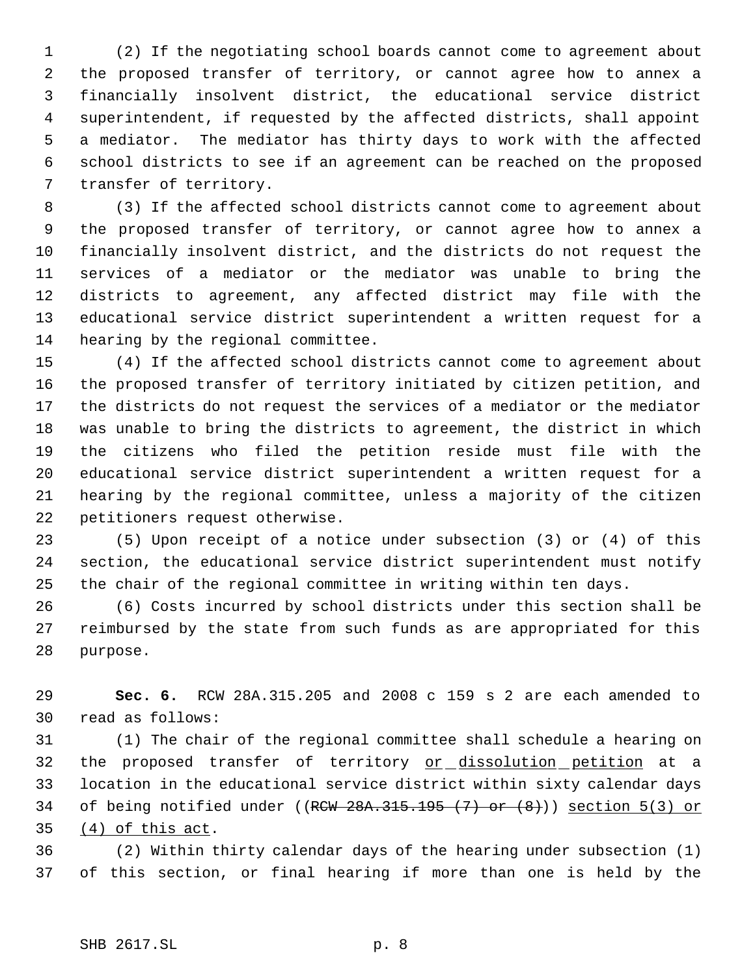(2) If the negotiating school boards cannot come to agreement about the proposed transfer of territory, or cannot agree how to annex a financially insolvent district, the educational service district superintendent, if requested by the affected districts, shall appoint a mediator. The mediator has thirty days to work with the affected school districts to see if an agreement can be reached on the proposed transfer of territory.

 (3) If the affected school districts cannot come to agreement about the proposed transfer of territory, or cannot agree how to annex a financially insolvent district, and the districts do not request the services of a mediator or the mediator was unable to bring the districts to agreement, any affected district may file with the educational service district superintendent a written request for a hearing by the regional committee.

 (4) If the affected school districts cannot come to agreement about the proposed transfer of territory initiated by citizen petition, and the districts do not request the services of a mediator or the mediator was unable to bring the districts to agreement, the district in which the citizens who filed the petition reside must file with the educational service district superintendent a written request for a hearing by the regional committee, unless a majority of the citizen petitioners request otherwise.

 (5) Upon receipt of a notice under subsection (3) or (4) of this section, the educational service district superintendent must notify the chair of the regional committee in writing within ten days.

 (6) Costs incurred by school districts under this section shall be reimbursed by the state from such funds as are appropriated for this purpose.

 **Sec. 6.** RCW 28A.315.205 and 2008 c 159 s 2 are each amended to read as follows:

 (1) The chair of the regional committee shall schedule a hearing on 32 the proposed transfer of territory or dissolution petition at a location in the educational service district within sixty calendar days 34 of being notified under ( $(RCW 28A.315.195 (7) or (8))$ ) section  $5(3)$  or (4) of this act.

 (2) Within thirty calendar days of the hearing under subsection (1) of this section, or final hearing if more than one is held by the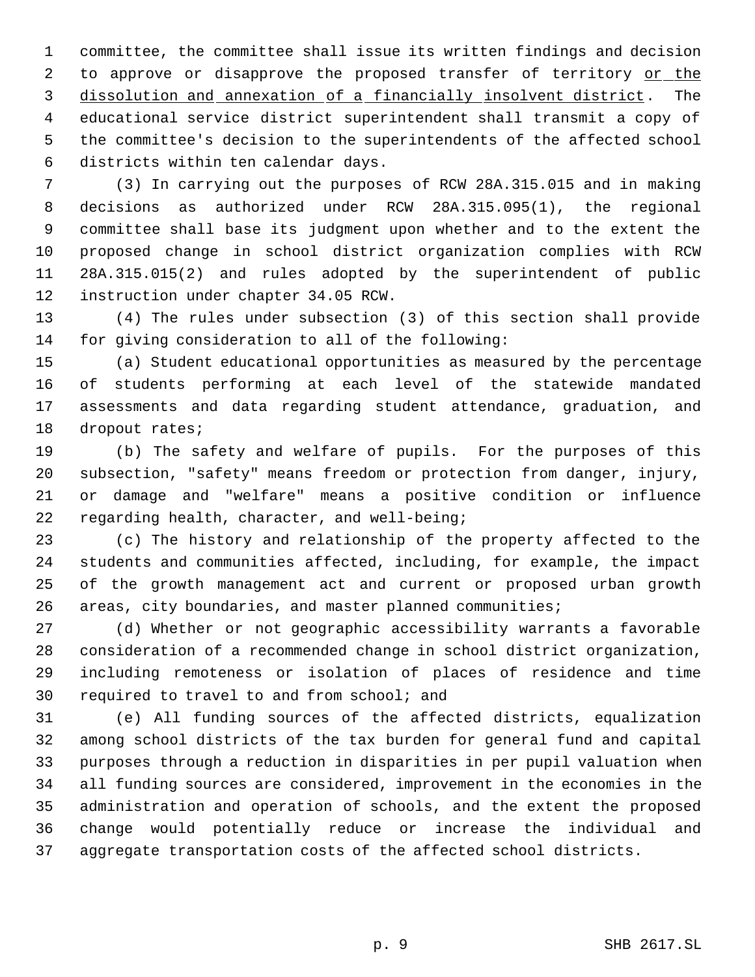committee, the committee shall issue its written findings and decision 2 to approve or disapprove the proposed transfer of territory or the dissolution and annexation of a financially insolvent district. The educational service district superintendent shall transmit a copy of the committee's decision to the superintendents of the affected school districts within ten calendar days.

 (3) In carrying out the purposes of RCW 28A.315.015 and in making decisions as authorized under RCW 28A.315.095(1), the regional committee shall base its judgment upon whether and to the extent the proposed change in school district organization complies with RCW 28A.315.015(2) and rules adopted by the superintendent of public instruction under chapter 34.05 RCW.

 (4) The rules under subsection (3) of this section shall provide for giving consideration to all of the following:

 (a) Student educational opportunities as measured by the percentage of students performing at each level of the statewide mandated assessments and data regarding student attendance, graduation, and dropout rates;

 (b) The safety and welfare of pupils. For the purposes of this subsection, "safety" means freedom or protection from danger, injury, or damage and "welfare" means a positive condition or influence regarding health, character, and well-being;

 (c) The history and relationship of the property affected to the students and communities affected, including, for example, the impact of the growth management act and current or proposed urban growth areas, city boundaries, and master planned communities;

 (d) Whether or not geographic accessibility warrants a favorable consideration of a recommended change in school district organization, including remoteness or isolation of places of residence and time required to travel to and from school; and

 (e) All funding sources of the affected districts, equalization among school districts of the tax burden for general fund and capital purposes through a reduction in disparities in per pupil valuation when all funding sources are considered, improvement in the economies in the administration and operation of schools, and the extent the proposed change would potentially reduce or increase the individual and aggregate transportation costs of the affected school districts.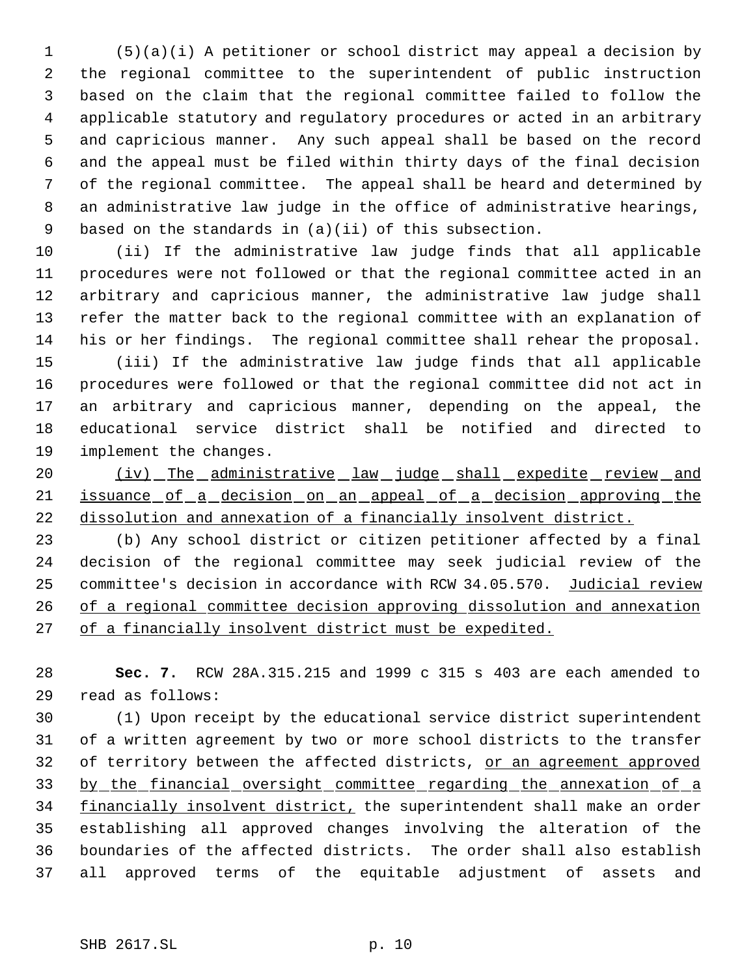(5)(a)(i) A petitioner or school district may appeal a decision by the regional committee to the superintendent of public instruction based on the claim that the regional committee failed to follow the applicable statutory and regulatory procedures or acted in an arbitrary and capricious manner. Any such appeal shall be based on the record and the appeal must be filed within thirty days of the final decision of the regional committee. The appeal shall be heard and determined by an administrative law judge in the office of administrative hearings, based on the standards in (a)(ii) of this subsection.

 (ii) If the administrative law judge finds that all applicable procedures were not followed or that the regional committee acted in an arbitrary and capricious manner, the administrative law judge shall refer the matter back to the regional committee with an explanation of his or her findings. The regional committee shall rehear the proposal.

 (iii) If the administrative law judge finds that all applicable procedures were followed or that the regional committee did not act in an arbitrary and capricious manner, depending on the appeal, the educational service district shall be notified and directed to implement the changes.

20 (iv) The administrative law judge shall expedite review and 21 issuance of a decision on an appeal of a decision approving the dissolution and annexation of a financially insolvent district.

 (b) Any school district or citizen petitioner affected by a final decision of the regional committee may seek judicial review of the committee's decision in accordance with RCW 34.05.570. Judicial review of a regional committee decision approving dissolution and annexation 27 of a financially insolvent district must be expedited.

 **Sec. 7.** RCW 28A.315.215 and 1999 c 315 s 403 are each amended to read as follows:

 (1) Upon receipt by the educational service district superintendent of a written agreement by two or more school districts to the transfer 32 of territory between the affected districts, or an agreement approved by the financial oversight committee regarding the annexation of a 34 financially insolvent district, the superintendent shall make an order establishing all approved changes involving the alteration of the boundaries of the affected districts. The order shall also establish all approved terms of the equitable adjustment of assets and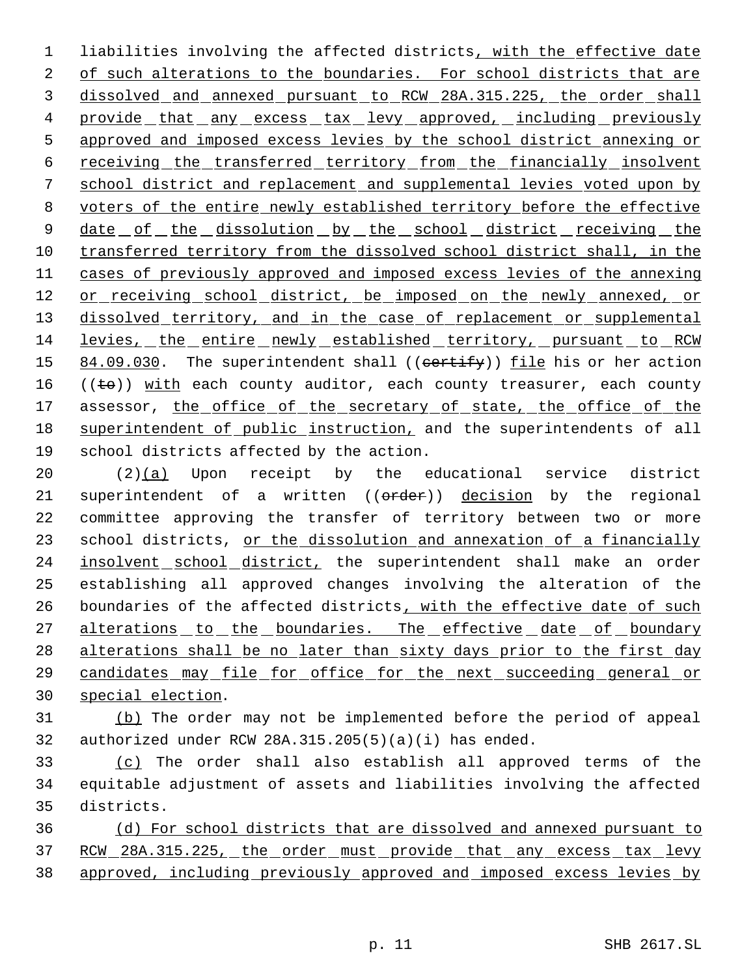1 liabilities involving the affected districts, with the effective date 2 of such alterations to the boundaries. For school districts that are 3 dissolved and annexed pursuant to RCW 28A.315.225, the order shall 4 provide that any excess tax levy approved, including previously 5 approved and imposed excess levies by the school district annexing or 6 receiving the transferred territory from the financially insolvent 7 school district and replacement and supplemental levies voted upon by 8 voters of the entire newly established territory before the effective 9 date of the dissolution by the school district receiving the 10 transferred territory from the dissolved school district shall, in the 11 cases of previously approved and imposed excess levies of the annexing 12 or receiving school district, be imposed on the newly annexed, or 13 dissolved territory, and in the case of replacement or supplemental 14 levies, the entire newly established territory, pursuant to RCW 15 84.09.030. The superintendent shall ((certify)) file his or her action 16 (( $\pm$ o)) with each county auditor, each county treasurer, each county 17 assessor, the office of the secretary of state, the office of the 18 superintendent of public instruction, and the superintendents of all 19 school districts affected by the action.

 $20$  (2) $(a)$  Upon receipt by the educational service district 21 superintendent of a written ((order)) decision by the regional 22 committee approving the transfer of territory between two or more 23 school districts, or the dissolution and annexation of a financially 24 insolvent school district, the superintendent shall make an order 25 establishing all approved changes involving the alteration of the 26 boundaries of the affected districts, with the effective date of such 27 alterations to the boundaries. The effective date of boundary 28 alterations shall be no later than sixty days prior to the first day 29 candidates may file for office for the next succeeding general or 30 special election.

- 31 (b) The order may not be implemented before the period of appeal 32 authorized under RCW 28A.315.205(5)(a)(i) has ended.
- 33 (c) The order shall also establish all approved terms of the 34 equitable adjustment of assets and liabilities involving the affected 35 districts.

36 (d) For school districts that are dissolved and annexed pursuant to 37 RCW 28A.315.225, the order must provide that any excess tax levy 38 approved, including previously approved and imposed excess levies by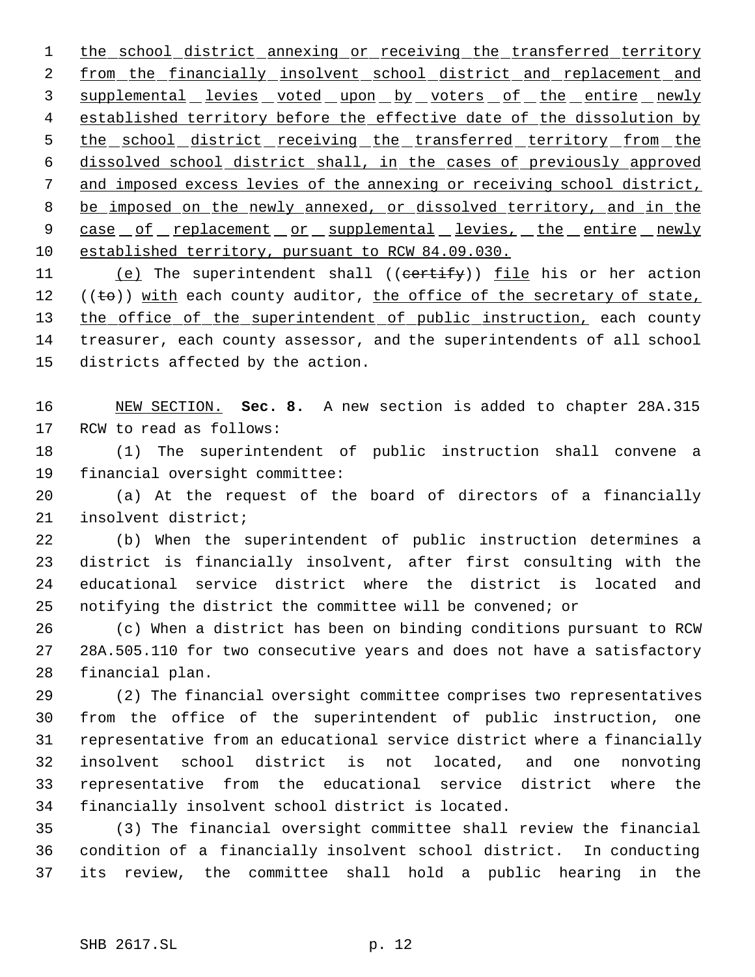1 the school district annexing or receiving the transferred territory 2 from the financially insolvent school district and replacement and 3 supplemental levies voted upon by voters of the entire newly 4 established territory before the effective date of the dissolution by 5 the school district receiving the transferred territory from the dissolved school district shall, in the cases of previously approved and imposed excess levies of the annexing or receiving school district, 8 be imposed on the newly annexed, or dissolved territory, and in the 9 case of replacement or supplemental levies, the entire newly established territory, pursuant to RCW 84.09.030.

11 (e) The superintendent shall ((certify)) file his or her action 12  $((\text{te})$ ) with each county auditor, the office of the secretary of state, 13 the office of the superintendent of public instruction, each county treasurer, each county assessor, and the superintendents of all school districts affected by the action.

 NEW SECTION. **Sec. 8.** A new section is added to chapter 28A.315 RCW to read as follows:

 (1) The superintendent of public instruction shall convene a financial oversight committee:

 (a) At the request of the board of directors of a financially insolvent district;

 (b) When the superintendent of public instruction determines a district is financially insolvent, after first consulting with the educational service district where the district is located and notifying the district the committee will be convened; or

 (c) When a district has been on binding conditions pursuant to RCW 28A.505.110 for two consecutive years and does not have a satisfactory financial plan.

 (2) The financial oversight committee comprises two representatives from the office of the superintendent of public instruction, one representative from an educational service district where a financially insolvent school district is not located, and one nonvoting representative from the educational service district where the financially insolvent school district is located.

 (3) The financial oversight committee shall review the financial condition of a financially insolvent school district. In conducting its review, the committee shall hold a public hearing in the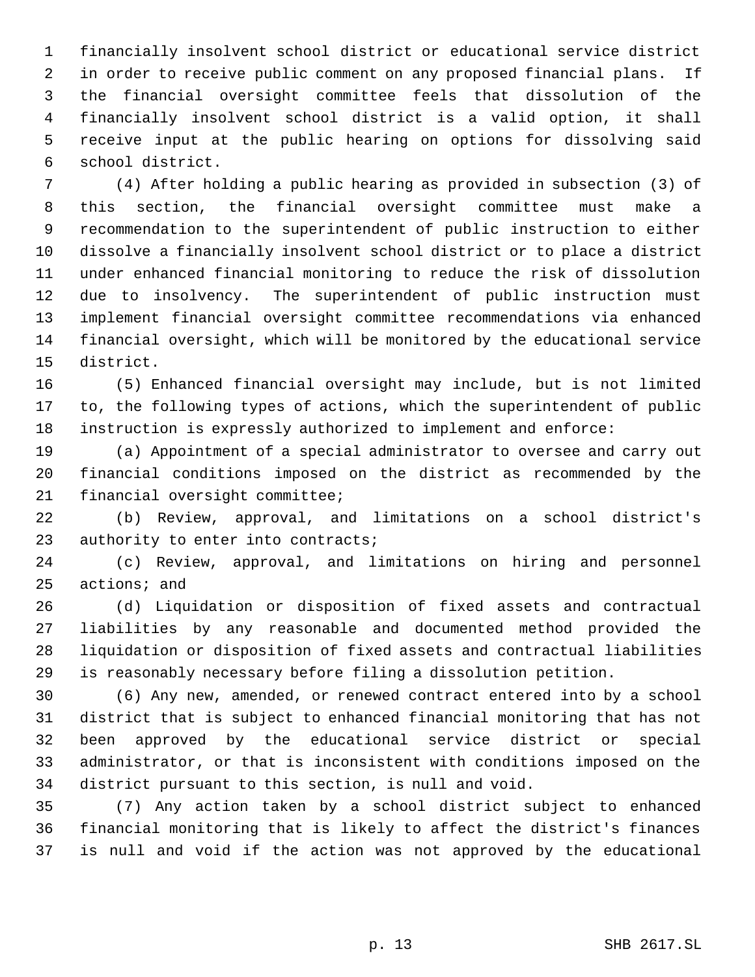financially insolvent school district or educational service district in order to receive public comment on any proposed financial plans. If the financial oversight committee feels that dissolution of the financially insolvent school district is a valid option, it shall receive input at the public hearing on options for dissolving said school district.

 (4) After holding a public hearing as provided in subsection (3) of this section, the financial oversight committee must make a recommendation to the superintendent of public instruction to either dissolve a financially insolvent school district or to place a district under enhanced financial monitoring to reduce the risk of dissolution due to insolvency. The superintendent of public instruction must implement financial oversight committee recommendations via enhanced financial oversight, which will be monitored by the educational service district.

 (5) Enhanced financial oversight may include, but is not limited to, the following types of actions, which the superintendent of public instruction is expressly authorized to implement and enforce:

 (a) Appointment of a special administrator to oversee and carry out financial conditions imposed on the district as recommended by the financial oversight committee;

 (b) Review, approval, and limitations on a school district's 23 authority to enter into contracts;

 (c) Review, approval, and limitations on hiring and personnel actions; and

 (d) Liquidation or disposition of fixed assets and contractual liabilities by any reasonable and documented method provided the liquidation or disposition of fixed assets and contractual liabilities is reasonably necessary before filing a dissolution petition.

 (6) Any new, amended, or renewed contract entered into by a school district that is subject to enhanced financial monitoring that has not been approved by the educational service district or special administrator, or that is inconsistent with conditions imposed on the district pursuant to this section, is null and void.

 (7) Any action taken by a school district subject to enhanced financial monitoring that is likely to affect the district's finances is null and void if the action was not approved by the educational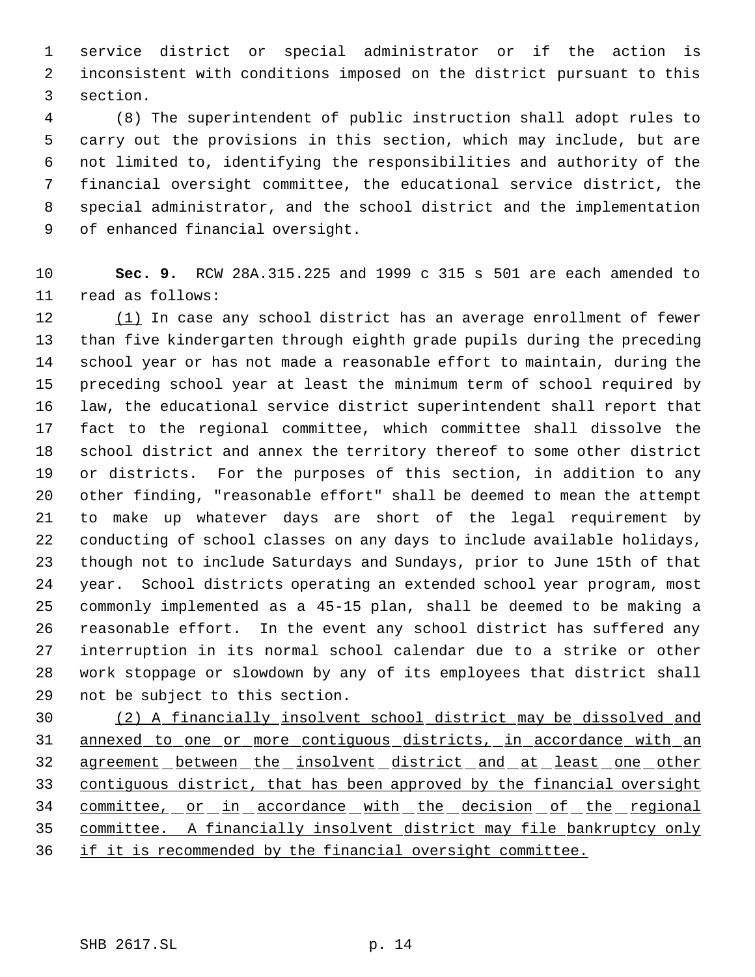service district or special administrator or if the action is inconsistent with conditions imposed on the district pursuant to this section.

 (8) The superintendent of public instruction shall adopt rules to carry out the provisions in this section, which may include, but are not limited to, identifying the responsibilities and authority of the financial oversight committee, the educational service district, the special administrator, and the school district and the implementation of enhanced financial oversight.

 **Sec. 9.** RCW 28A.315.225 and 1999 c 315 s 501 are each amended to read as follows:

12 (1) In case any school district has an average enrollment of fewer than five kindergarten through eighth grade pupils during the preceding school year or has not made a reasonable effort to maintain, during the preceding school year at least the minimum term of school required by law, the educational service district superintendent shall report that fact to the regional committee, which committee shall dissolve the school district and annex the territory thereof to some other district or districts. For the purposes of this section, in addition to any other finding, "reasonable effort" shall be deemed to mean the attempt to make up whatever days are short of the legal requirement by conducting of school classes on any days to include available holidays, though not to include Saturdays and Sundays, prior to June 15th of that year. School districts operating an extended school year program, most commonly implemented as a 45-15 plan, shall be deemed to be making a reasonable effort. In the event any school district has suffered any interruption in its normal school calendar due to a strike or other work stoppage or slowdown by any of its employees that district shall not be subject to this section.

 (2) A financially insolvent school district may be dissolved and annexed to one or more contiguous districts, in accordance with an 32 agreement between the insolvent district and at least one other contiguous district, that has been approved by the financial oversight 34 committee, or in accordance with the decision of the regional committee. A financially insolvent district may file bankruptcy only if it is recommended by the financial oversight committee.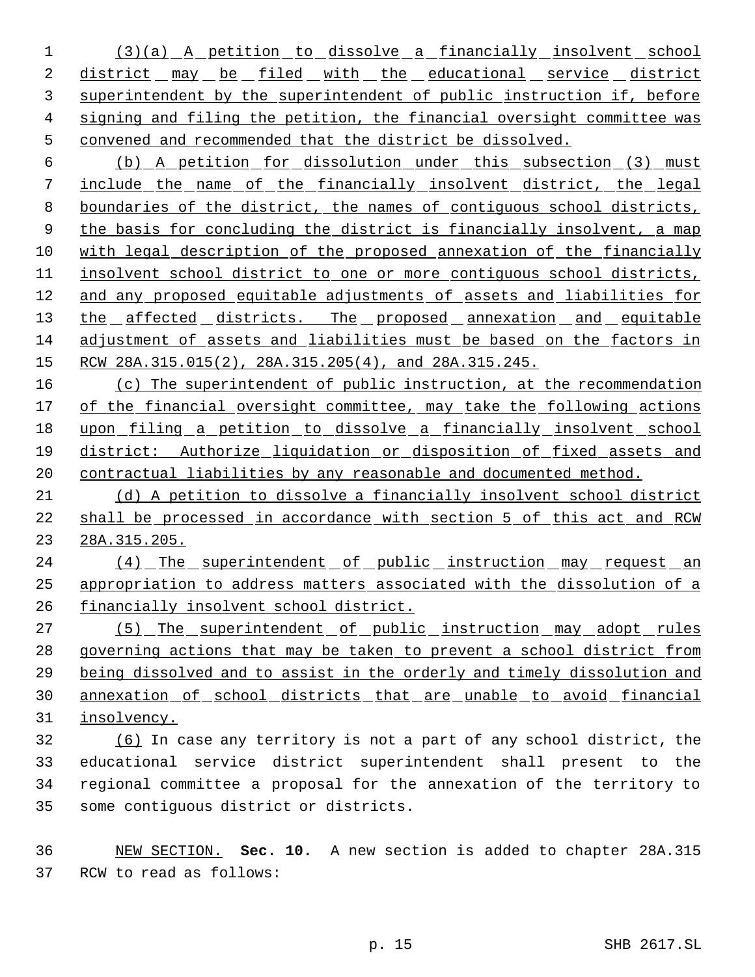1 (3)(a) A petition to dissolve a financially insolvent school 2 district may be filed with the educational service district superintendent by the superintendent of public instruction if, before signing and filing the petition, the financial oversight committee was convened and recommended that the district be dissolved.

 (b) A petition for dissolution under this subsection (3) must include the name of the financially insolvent district, the legal boundaries of the district, the names of contiguous school districts, 9 the basis for concluding the district is financially insolvent, a map with legal description of the proposed annexation of the financially insolvent school district to one or more contiguous school districts, and any proposed equitable adjustments of assets and liabilities for 13 the affected districts. The proposed annexation and equitable adjustment of assets and liabilities must be based on the factors in 15 RCW 28A.315.015(2), 28A.315.205(4), and 28A.315.245.

 (c) The superintendent of public instruction, at the recommendation 17 of the financial oversight committee, may take the following actions upon filing a petition to dissolve a financially insolvent school district: Authorize liquidation or disposition of fixed assets and contractual liabilities by any reasonable and documented method.

 (d) A petition to dissolve a financially insolvent school district shall be processed in accordance with section 5 of this act and RCW 28A.315.205.

24 (4) The superintendent of public instruction may request an appropriation to address matters associated with the dissolution of a financially insolvent school district.

27 (5) The superintendent of public instruction may adopt rules governing actions that may be taken to prevent a school district from being dissolved and to assist in the orderly and timely dissolution and annexation of school districts that are unable to avoid financial insolvency.

 (6) In case any territory is not a part of any school district, the educational service district superintendent shall present to the regional committee a proposal for the annexation of the territory to some contiguous district or districts.

 NEW SECTION. **Sec. 10.** A new section is added to chapter 28A.315 RCW to read as follows: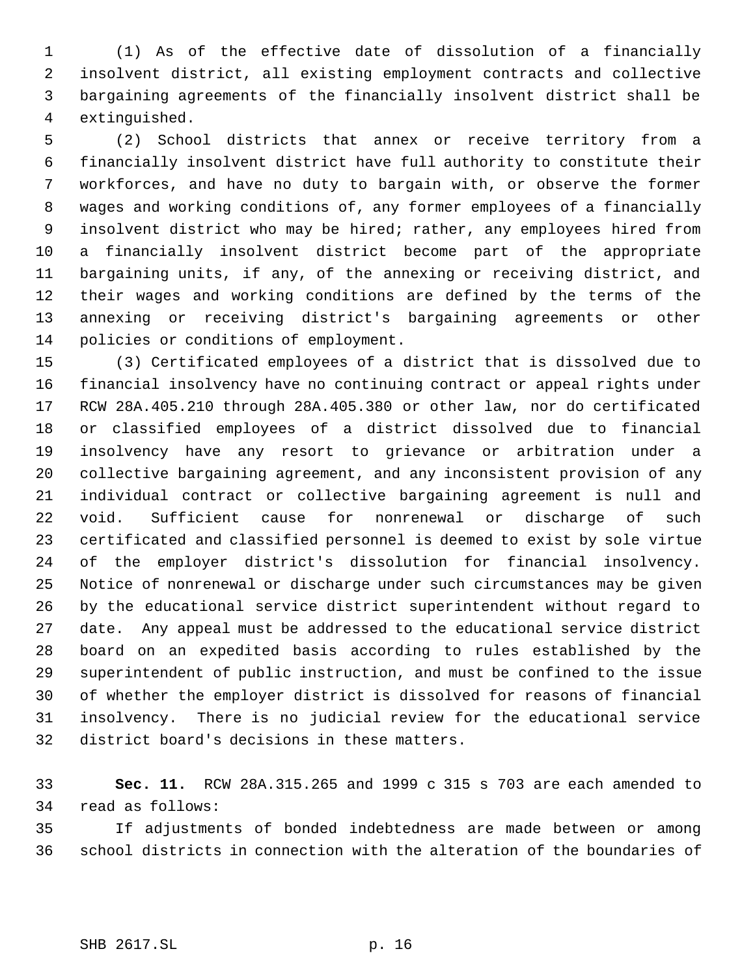(1) As of the effective date of dissolution of a financially insolvent district, all existing employment contracts and collective bargaining agreements of the financially insolvent district shall be extinguished.

 (2) School districts that annex or receive territory from a financially insolvent district have full authority to constitute their workforces, and have no duty to bargain with, or observe the former wages and working conditions of, any former employees of a financially insolvent district who may be hired; rather, any employees hired from a financially insolvent district become part of the appropriate bargaining units, if any, of the annexing or receiving district, and their wages and working conditions are defined by the terms of the annexing or receiving district's bargaining agreements or other policies or conditions of employment.

 (3) Certificated employees of a district that is dissolved due to financial insolvency have no continuing contract or appeal rights under RCW 28A.405.210 through 28A.405.380 or other law, nor do certificated or classified employees of a district dissolved due to financial insolvency have any resort to grievance or arbitration under a collective bargaining agreement, and any inconsistent provision of any individual contract or collective bargaining agreement is null and void. Sufficient cause for nonrenewal or discharge of such certificated and classified personnel is deemed to exist by sole virtue of the employer district's dissolution for financial insolvency. Notice of nonrenewal or discharge under such circumstances may be given by the educational service district superintendent without regard to date. Any appeal must be addressed to the educational service district board on an expedited basis according to rules established by the superintendent of public instruction, and must be confined to the issue of whether the employer district is dissolved for reasons of financial insolvency. There is no judicial review for the educational service district board's decisions in these matters.

 **Sec. 11.** RCW 28A.315.265 and 1999 c 315 s 703 are each amended to read as follows:

 If adjustments of bonded indebtedness are made between or among school districts in connection with the alteration of the boundaries of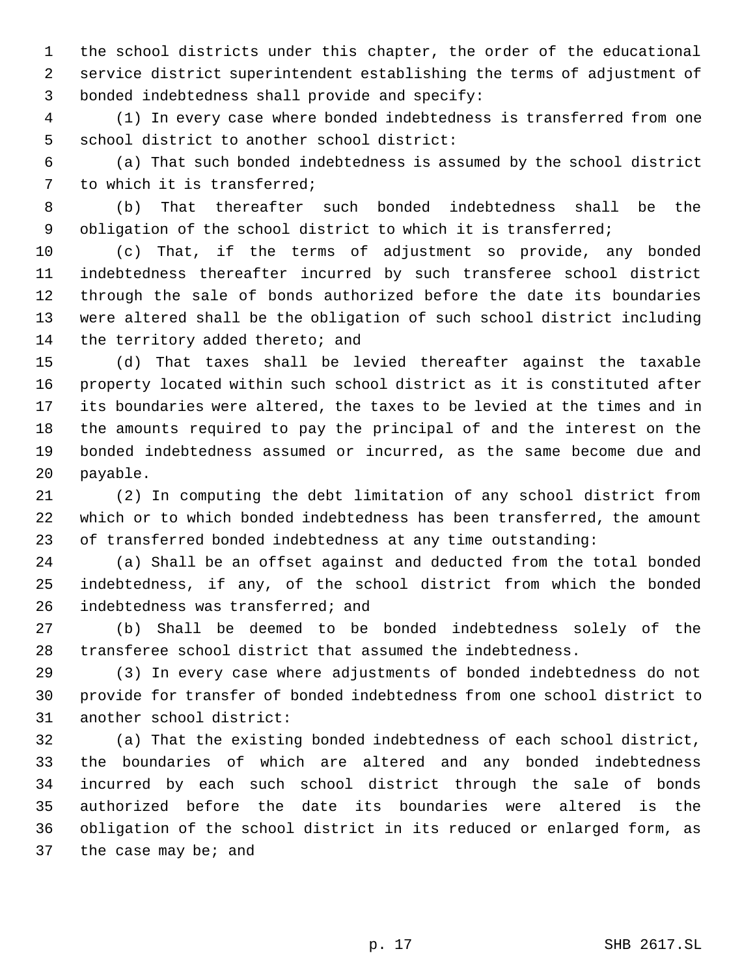the school districts under this chapter, the order of the educational service district superintendent establishing the terms of adjustment of bonded indebtedness shall provide and specify:

 (1) In every case where bonded indebtedness is transferred from one school district to another school district:

 (a) That such bonded indebtedness is assumed by the school district to which it is transferred;

 (b) That thereafter such bonded indebtedness shall be the obligation of the school district to which it is transferred;

 (c) That, if the terms of adjustment so provide, any bonded indebtedness thereafter incurred by such transferee school district through the sale of bonds authorized before the date its boundaries were altered shall be the obligation of such school district including 14 the territory added thereto; and

 (d) That taxes shall be levied thereafter against the taxable property located within such school district as it is constituted after its boundaries were altered, the taxes to be levied at the times and in the amounts required to pay the principal of and the interest on the bonded indebtedness assumed or incurred, as the same become due and payable.

 (2) In computing the debt limitation of any school district from which or to which bonded indebtedness has been transferred, the amount of transferred bonded indebtedness at any time outstanding:

 (a) Shall be an offset against and deducted from the total bonded indebtedness, if any, of the school district from which the bonded indebtedness was transferred; and

 (b) Shall be deemed to be bonded indebtedness solely of the transferee school district that assumed the indebtedness.

 (3) In every case where adjustments of bonded indebtedness do not provide for transfer of bonded indebtedness from one school district to another school district:

 (a) That the existing bonded indebtedness of each school district, the boundaries of which are altered and any bonded indebtedness incurred by each such school district through the sale of bonds authorized before the date its boundaries were altered is the obligation of the school district in its reduced or enlarged form, as 37 the case may be; and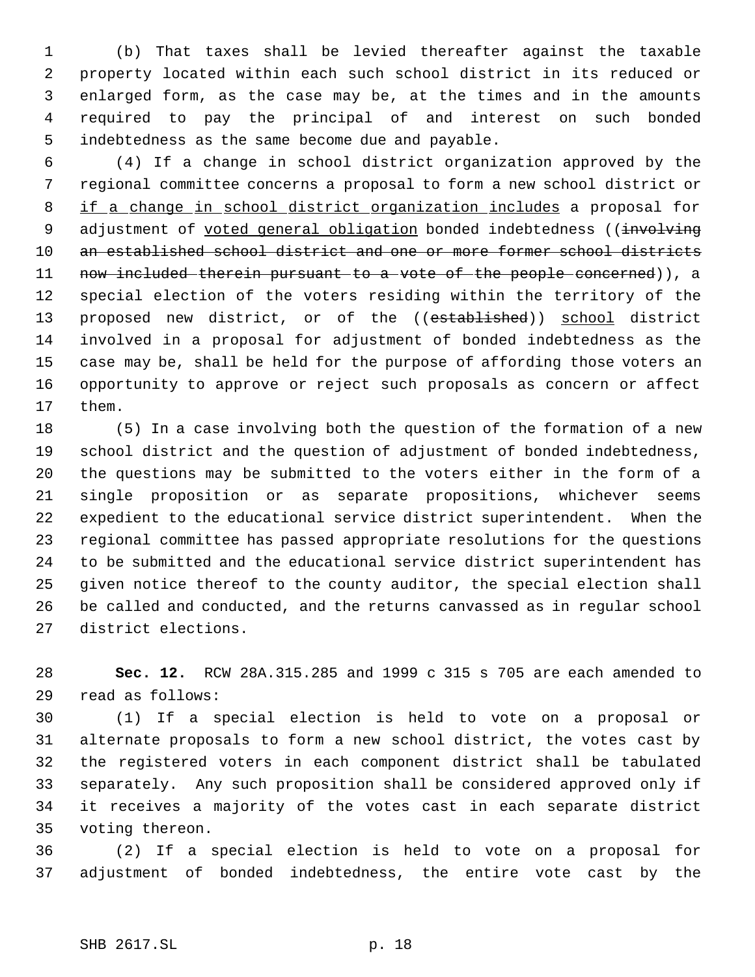(b) That taxes shall be levied thereafter against the taxable property located within each such school district in its reduced or enlarged form, as the case may be, at the times and in the amounts required to pay the principal of and interest on such bonded indebtedness as the same become due and payable.

 (4) If a change in school district organization approved by the regional committee concerns a proposal to form a new school district or 8 if a change in school district organization includes a proposal for 9 adjustment of voted general obligation bonded indebtedness ((involving 10 an established school district and one or more former school districts 11 now included therein pursuant to a vote of the people concerned)), a special election of the voters residing within the territory of the 13 proposed new district, or of the ((established)) school district involved in a proposal for adjustment of bonded indebtedness as the case may be, shall be held for the purpose of affording those voters an opportunity to approve or reject such proposals as concern or affect them.

 (5) In a case involving both the question of the formation of a new school district and the question of adjustment of bonded indebtedness, the questions may be submitted to the voters either in the form of a single proposition or as separate propositions, whichever seems expedient to the educational service district superintendent. When the regional committee has passed appropriate resolutions for the questions to be submitted and the educational service district superintendent has given notice thereof to the county auditor, the special election shall be called and conducted, and the returns canvassed as in regular school district elections.

 **Sec. 12.** RCW 28A.315.285 and 1999 c 315 s 705 are each amended to read as follows:

 (1) If a special election is held to vote on a proposal or alternate proposals to form a new school district, the votes cast by the registered voters in each component district shall be tabulated separately. Any such proposition shall be considered approved only if it receives a majority of the votes cast in each separate district voting thereon.

 (2) If a special election is held to vote on a proposal for adjustment of bonded indebtedness, the entire vote cast by the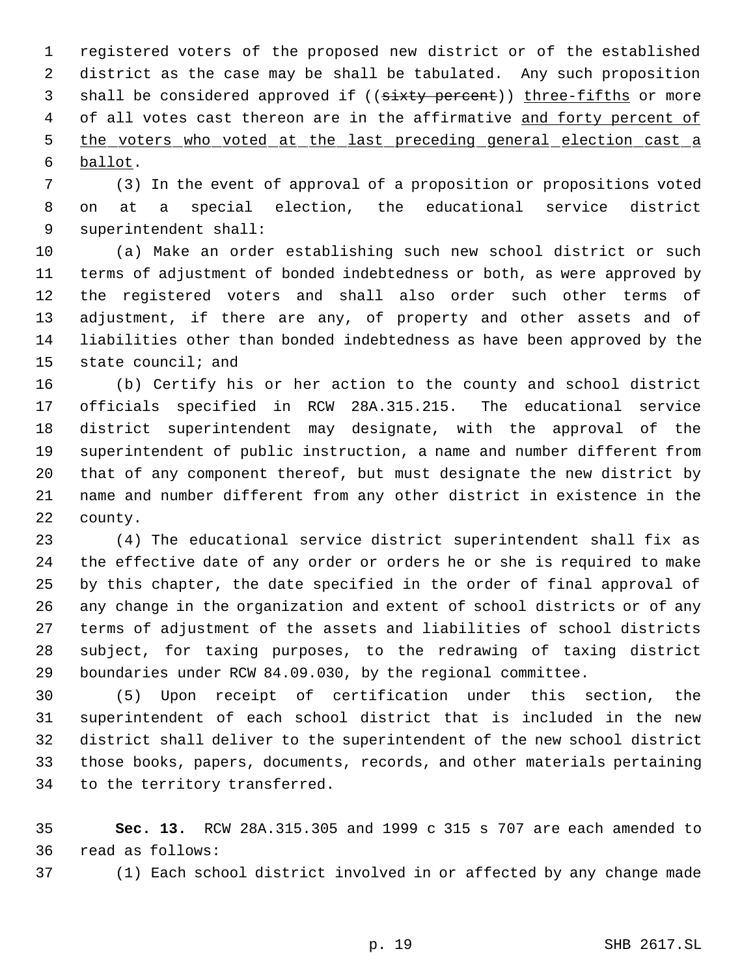registered voters of the proposed new district or of the established district as the case may be shall be tabulated. Any such proposition 3 shall be considered approved if ((sixty percent)) three-fifths or more 4 of all votes cast thereon are in the affirmative and forty percent of 5 the voters who voted at the last preceding general election cast a ballot.

 (3) In the event of approval of a proposition or propositions voted on at a special election, the educational service district superintendent shall:

 (a) Make an order establishing such new school district or such terms of adjustment of bonded indebtedness or both, as were approved by the registered voters and shall also order such other terms of adjustment, if there are any, of property and other assets and of liabilities other than bonded indebtedness as have been approved by the state council; and

 (b) Certify his or her action to the county and school district officials specified in RCW 28A.315.215. The educational service district superintendent may designate, with the approval of the superintendent of public instruction, a name and number different from that of any component thereof, but must designate the new district by name and number different from any other district in existence in the county.

 (4) The educational service district superintendent shall fix as the effective date of any order or orders he or she is required to make by this chapter, the date specified in the order of final approval of any change in the organization and extent of school districts or of any terms of adjustment of the assets and liabilities of school districts subject, for taxing purposes, to the redrawing of taxing district boundaries under RCW 84.09.030, by the regional committee.

 (5) Upon receipt of certification under this section, the superintendent of each school district that is included in the new district shall deliver to the superintendent of the new school district those books, papers, documents, records, and other materials pertaining to the territory transferred.

 **Sec. 13.** RCW 28A.315.305 and 1999 c 315 s 707 are each amended to read as follows:

(1) Each school district involved in or affected by any change made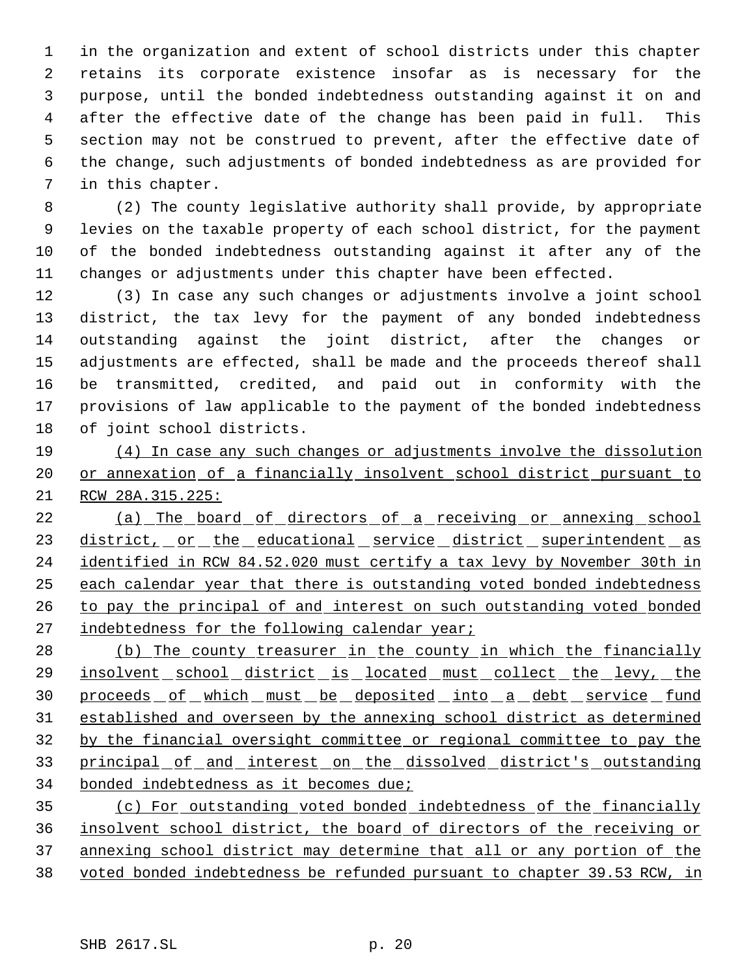in the organization and extent of school districts under this chapter retains its corporate existence insofar as is necessary for the purpose, until the bonded indebtedness outstanding against it on and after the effective date of the change has been paid in full. This section may not be construed to prevent, after the effective date of the change, such adjustments of bonded indebtedness as are provided for in this chapter.

 (2) The county legislative authority shall provide, by appropriate levies on the taxable property of each school district, for the payment of the bonded indebtedness outstanding against it after any of the changes or adjustments under this chapter have been effected.

 (3) In case any such changes or adjustments involve a joint school district, the tax levy for the payment of any bonded indebtedness outstanding against the joint district, after the changes or adjustments are effected, shall be made and the proceeds thereof shall be transmitted, credited, and paid out in conformity with the provisions of law applicable to the payment of the bonded indebtedness of joint school districts.

 (4) In case any such changes or adjustments involve the dissolution 20 or annexation of a financially insolvent school district pursuant to RCW 28A.315.225:

22 (a) The board of directors of a receiving or annexing school 23 district, or the educational service district superintendent as identified in RCW 84.52.020 must certify a tax levy by November 30th in each calendar year that there is outstanding voted bonded indebtedness to pay the principal of and interest on such outstanding voted bonded 27 indebtedness for the following calendar year;

 (b) The county treasurer in the county in which the financially 29 insolvent school district is located must collect the levy, the 30 proceeds of which must be deposited into a debt service fund established and overseen by the annexing school district as determined by the financial oversight committee or regional committee to pay the 33 principal of and interest on the dissolved district's outstanding bonded indebtedness as it becomes due;

 (c) For outstanding voted bonded indebtedness of the financially insolvent school district, the board of directors of the receiving or annexing school district may determine that all or any portion of the voted bonded indebtedness be refunded pursuant to chapter 39.53 RCW, in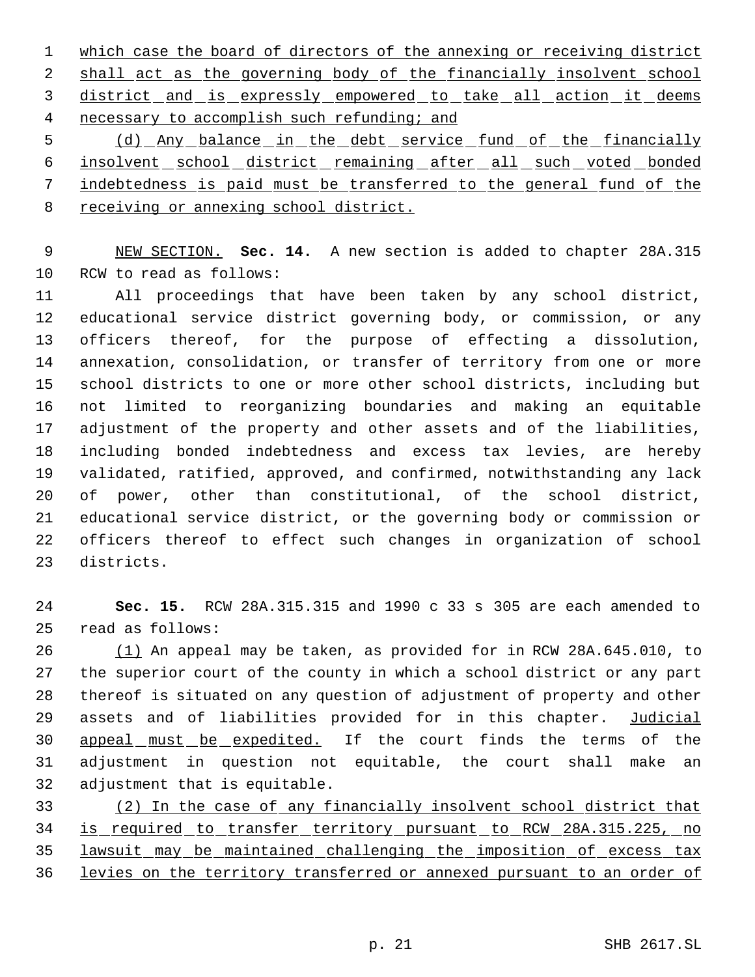1 which case the board of directors of the annexing or receiving district 2 shall act as the governing body of the financially insolvent school district and is expressly empowered to take all action it deems 4 necessary to accomplish such refunding; and

 (d) Any balance in the debt service fund of the financially 6 insolvent school district remaining after all such voted bonded indebtedness is paid must be transferred to the general fund of the receiving or annexing school district.

 NEW SECTION. **Sec. 14.** A new section is added to chapter 28A.315 RCW to read as follows:

 All proceedings that have been taken by any school district, educational service district governing body, or commission, or any officers thereof, for the purpose of effecting a dissolution, annexation, consolidation, or transfer of territory from one or more school districts to one or more other school districts, including but not limited to reorganizing boundaries and making an equitable adjustment of the property and other assets and of the liabilities, including bonded indebtedness and excess tax levies, are hereby validated, ratified, approved, and confirmed, notwithstanding any lack of power, other than constitutional, of the school district, educational service district, or the governing body or commission or officers thereof to effect such changes in organization of school districts.

 **Sec. 15.** RCW 28A.315.315 and 1990 c 33 s 305 are each amended to read as follows:

 (1) An appeal may be taken, as provided for in RCW 28A.645.010, to the superior court of the county in which a school district or any part thereof is situated on any question of adjustment of property and other 29 assets and of liabilities provided for in this chapter. Judicial 30 appeal must be expedited. If the court finds the terms of the adjustment in question not equitable, the court shall make an adjustment that is equitable.

 (2) In the case of any financially insolvent school district that is required to transfer territory pursuant to RCW 28A.315.225, no lawsuit may be maintained challenging the imposition of excess tax levies on the territory transferred or annexed pursuant to an order of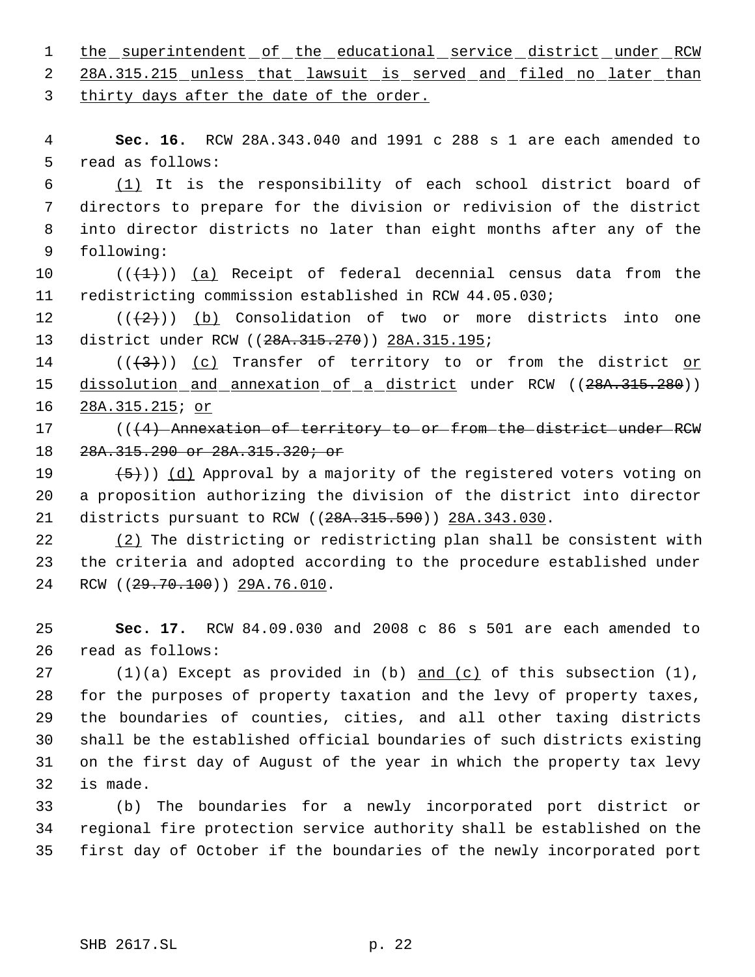1 the superintendent of the educational service district under RCW

2 28A.315.215 unless that lawsuit is served and filed no later than thirty days after the date of the order.

 **Sec. 16.** RCW 28A.343.040 and 1991 c 288 s 1 are each amended to read as follows:

 (1) It is the responsibility of each school district board of directors to prepare for the division or redivision of the district into director districts no later than eight months after any of the following:

10  $((+1))$   $(a)$  Receipt of federal decennial census data from the redistricting commission established in RCW 44.05.030;

12  $((+2)^{n})$  (b) Consolidation of two or more districts into one 13 district under RCW ((28A.315.270)) 28A.315.195;

14 ( $(\langle 3 \rangle)$ ) (c) Transfer of territory to or from the district or 15 dissolution and annexation of a district under RCW ((28A.315.280)) 28A.315.215; or

17 (((4) Annexation of territory to or from the district under RCW 28A.315.290 or 28A.315.320; or

19  $(5)$ )) (d) Approval by a majority of the registered voters voting on a proposition authorizing the division of the district into director 21 districts pursuant to RCW ((28A.315.590)) 28A.343.030.

 (2) The districting or redistricting plan shall be consistent with the criteria and adopted according to the procedure established under 24 RCW ((29.70.100)) 29A.76.010.

 **Sec. 17.** RCW 84.09.030 and 2008 c 86 s 501 are each amended to read as follows:

 $(1)(a)$  Except as provided in (b) and  $(c)$  of this subsection  $(1)$ , for the purposes of property taxation and the levy of property taxes, the boundaries of counties, cities, and all other taxing districts shall be the established official boundaries of such districts existing on the first day of August of the year in which the property tax levy is made.

 (b) The boundaries for a newly incorporated port district or regional fire protection service authority shall be established on the first day of October if the boundaries of the newly incorporated port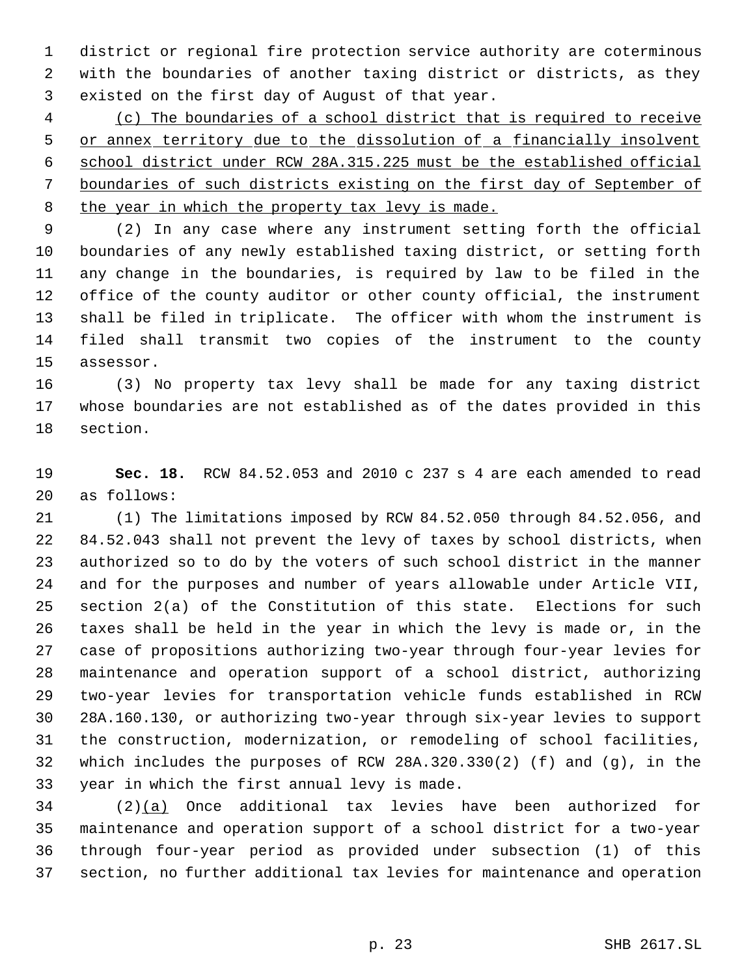district or regional fire protection service authority are coterminous with the boundaries of another taxing district or districts, as they existed on the first day of August of that year.

 (c) The boundaries of a school district that is required to receive 5 or annex territory due to the dissolution of a financially insolvent school district under RCW 28A.315.225 must be the established official boundaries of such districts existing on the first day of September of 8 the year in which the property tax levy is made.

 (2) In any case where any instrument setting forth the official boundaries of any newly established taxing district, or setting forth any change in the boundaries, is required by law to be filed in the office of the county auditor or other county official, the instrument shall be filed in triplicate. The officer with whom the instrument is filed shall transmit two copies of the instrument to the county assessor.

 (3) No property tax levy shall be made for any taxing district whose boundaries are not established as of the dates provided in this section.

 **Sec. 18.** RCW 84.52.053 and 2010 c 237 s 4 are each amended to read as follows:

 (1) The limitations imposed by RCW 84.52.050 through 84.52.056, and 84.52.043 shall not prevent the levy of taxes by school districts, when authorized so to do by the voters of such school district in the manner and for the purposes and number of years allowable under Article VII, section 2(a) of the Constitution of this state. Elections for such taxes shall be held in the year in which the levy is made or, in the case of propositions authorizing two-year through four-year levies for maintenance and operation support of a school district, authorizing two-year levies for transportation vehicle funds established in RCW 28A.160.130, or authorizing two-year through six-year levies to support the construction, modernization, or remodeling of school facilities, which includes the purposes of RCW 28A.320.330(2) (f) and (g), in the year in which the first annual levy is made.

 (2)(a) Once additional tax levies have been authorized for maintenance and operation support of a school district for a two-year through four-year period as provided under subsection (1) of this section, no further additional tax levies for maintenance and operation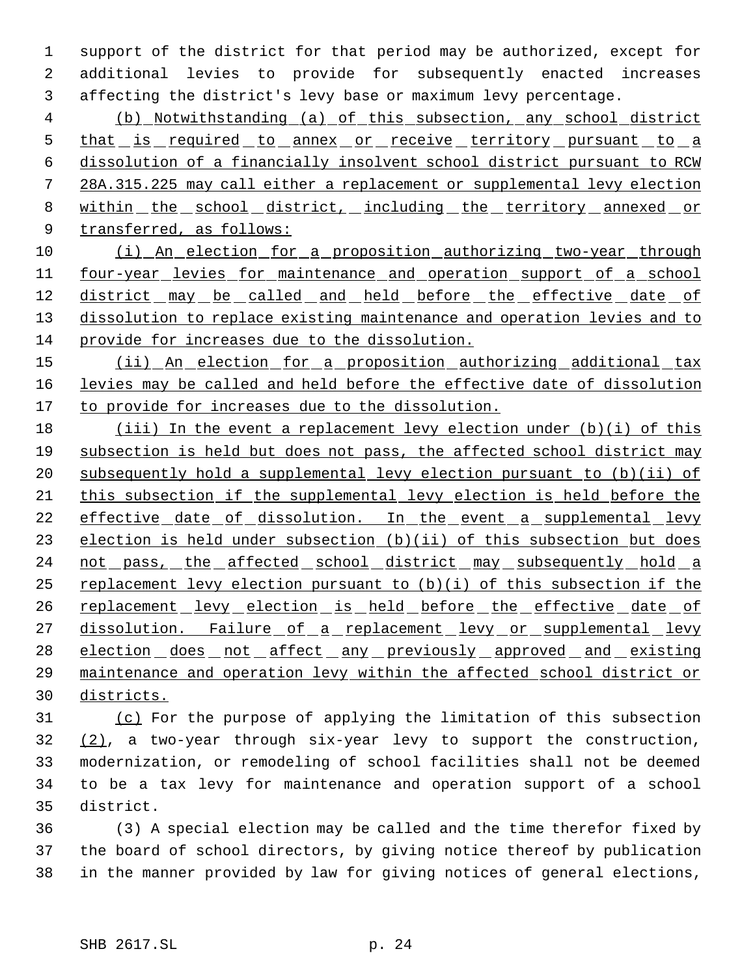1 support of the district for that period may be authorized, except for 2 additional levies to provide for subsequently enacted increases 3 affecting the district's levy base or maximum levy percentage.

 4 (b) Notwithstanding (a) of this subsection, any school district 5 that is required to annex or receive territory pursuant to a 6 dissolution of a financially insolvent school district pursuant to RCW 7 28A.315.225 may call either a replacement or supplemental levy election 8 within the school district, including the territory annexed or 9 transferred, as follows:

- 10 (i) An election for a proposition authorizing two-year through 11 four-year levies for maintenance and operation support of a school 12 district may be called and held before the effective date of 13 dissolution to replace existing maintenance and operation levies and to 14 provide for increases due to the dissolution.
- 15 (ii) An election for a proposition authorizing additional tax 16 levies may be called and held before the effective date of dissolution 17 to provide for increases due to the dissolution.
- 18 (iii) In the event a replacement levy election under (b)(i) of this 19 subsection is held but does not pass, the affected school district may 20 subsequently hold a supplemental levy election pursuant to (b)(ii) of 21 this subsection if the supplemental levy election is held before the 22 effective date of dissolution. In the event a supplemental levy 23 election is held under subsection (b)(ii) of this subsection but does 24 not pass, the affected school district may subsequently hold a 25 replacement levy election pursuant to (b)(i) of this subsection if the 26 replacement levy election is held before the effective date of 27 dissolution. Failure of a replacement levy or supplemental levy 28 election does not affect any previously approved and existing 29 maintenance and operation levy within the affected school district or 30 districts.
- 31 (c) For the purpose of applying the limitation of this subsection 32 (2), a two-year through six-year levy to support the construction, 33 modernization, or remodeling of school facilities shall not be deemed 34 to be a tax levy for maintenance and operation support of a school 35 district.
- 36 (3) A special election may be called and the time therefor fixed by 37 the board of school directors, by giving notice thereof by publication 38 in the manner provided by law for giving notices of general elections,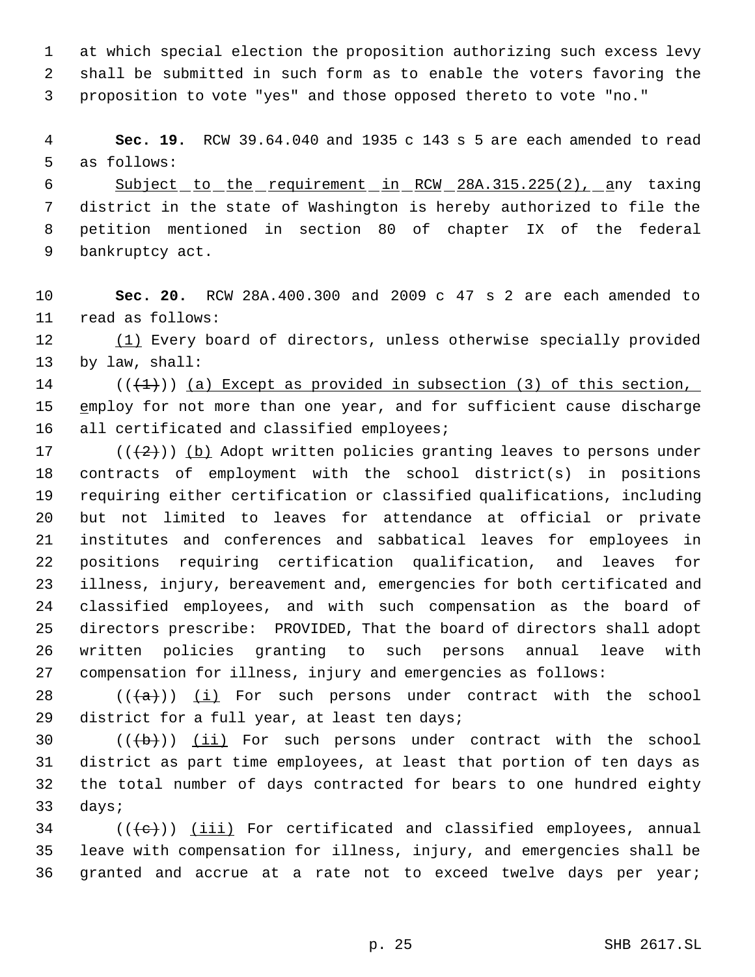at which special election the proposition authorizing such excess levy shall be submitted in such form as to enable the voters favoring the proposition to vote "yes" and those opposed thereto to vote "no."

 **Sec. 19.** RCW 39.64.040 and 1935 c 143 s 5 are each amended to read as follows:

6 Subject to the requirement in RCW 28A.315.225(2), any taxing district in the state of Washington is hereby authorized to file the petition mentioned in section 80 of chapter IX of the federal bankruptcy act.

 **Sec. 20.** RCW 28A.400.300 and 2009 c 47 s 2 are each amended to read as follows:

 (1) Every board of directors, unless otherwise specially provided by law, shall:

14  $((+1))$  (a) Except as provided in subsection (3) of this section, 15 employ for not more than one year, and for sufficient cause discharge 16 all certificated and classified employees;

17 ( $(\frac{1}{2})$ ) (b) Adopt written policies granting leaves to persons under contracts of employment with the school district(s) in positions requiring either certification or classified qualifications, including but not limited to leaves for attendance at official or private institutes and conferences and sabbatical leaves for employees in positions requiring certification qualification, and leaves for illness, injury, bereavement and, emergencies for both certificated and classified employees, and with such compensation as the board of directors prescribe: PROVIDED, That the board of directors shall adopt written policies granting to such persons annual leave with compensation for illness, injury and emergencies as follows:

28  $((+a))$   $(i)$  For such persons under contract with the school district for a full year, at least ten days;

 $((\{b\})$  (ii) For such persons under contract with the school district as part time employees, at least that portion of ten days as the total number of days contracted for bears to one hundred eighty days;

 (( $\left(\left\langle e\right\rangle\right)$ ) (iii) For certificated and classified employees, annual leave with compensation for illness, injury, and emergencies shall be granted and accrue at a rate not to exceed twelve days per year;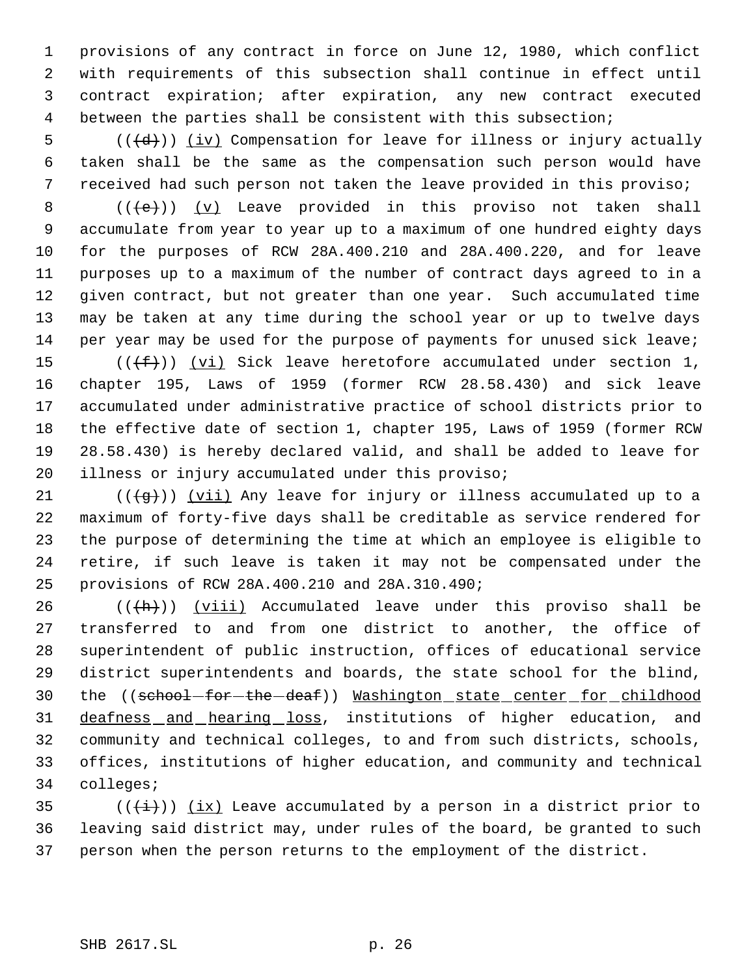provisions of any contract in force on June 12, 1980, which conflict with requirements of this subsection shall continue in effect until contract expiration; after expiration, any new contract executed between the parties shall be consistent with this subsection;

5  $((\{d\})$  (iv) Compensation for leave for illness or injury actually taken shall be the same as the compensation such person would have received had such person not taken the leave provided in this proviso;

 $((\{e\})$   $(y)$  Leave provided in this proviso not taken shall accumulate from year to year up to a maximum of one hundred eighty days for the purposes of RCW 28A.400.210 and 28A.400.220, and for leave purposes up to a maximum of the number of contract days agreed to in a given contract, but not greater than one year. Such accumulated time may be taken at any time during the school year or up to twelve days per year may be used for the purpose of payments for unused sick leave;

 $((\text{+f}))(\text{v}i)$  Sick leave heretofore accumulated under section 1, chapter 195, Laws of 1959 (former RCW 28.58.430) and sick leave accumulated under administrative practice of school districts prior to the effective date of section 1, chapter 195, Laws of 1959 (former RCW 28.58.430) is hereby declared valid, and shall be added to leave for illness or injury accumulated under this proviso;

21 ( $(\overline{q})$ ) (vii) Any leave for injury or illness accumulated up to a maximum of forty-five days shall be creditable as service rendered for the purpose of determining the time at which an employee is eligible to retire, if such leave is taken it may not be compensated under the provisions of RCW 28A.400.210 and 28A.310.490;

 $((+h))$  (viii) Accumulated leave under this proviso shall be transferred to and from one district to another, the office of superintendent of public instruction, offices of educational service district superintendents and boards, the state school for the blind, 30 the ((school-for-the-deaf)) Washington state center for childhood 31 deafness and hearing loss, institutions of higher education, and community and technical colleges, to and from such districts, schools, offices, institutions of higher education, and community and technical colleges;

35 ( $(\frac{1}{1})$ ) (ix) Leave accumulated by a person in a district prior to leaving said district may, under rules of the board, be granted to such person when the person returns to the employment of the district.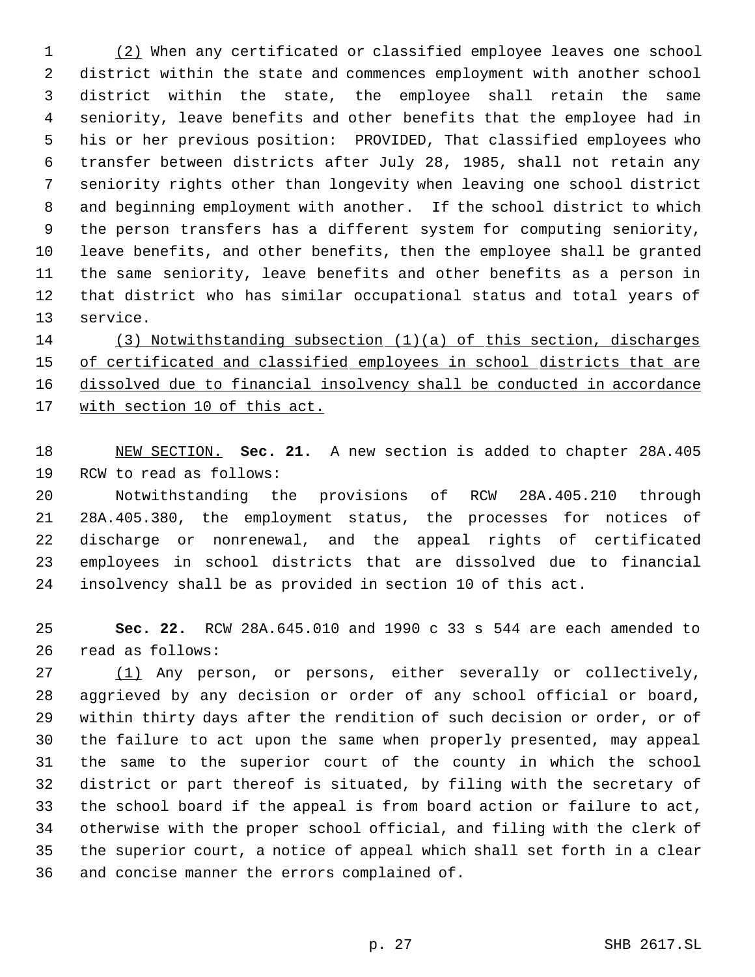(2) When any certificated or classified employee leaves one school district within the state and commences employment with another school district within the state, the employee shall retain the same seniority, leave benefits and other benefits that the employee had in his or her previous position: PROVIDED, That classified employees who transfer between districts after July 28, 1985, shall not retain any seniority rights other than longevity when leaving one school district and beginning employment with another. If the school district to which the person transfers has a different system for computing seniority, leave benefits, and other benefits, then the employee shall be granted the same seniority, leave benefits and other benefits as a person in that district who has similar occupational status and total years of service.

 (3) Notwithstanding subsection (1)(a) of this section, discharges 15 of certificated and classified employees in school districts that are dissolved due to financial insolvency shall be conducted in accordance 17 with section 10 of this act.

 NEW SECTION. **Sec. 21.** A new section is added to chapter 28A.405 RCW to read as follows:

 Notwithstanding the provisions of RCW 28A.405.210 through 28A.405.380, the employment status, the processes for notices of discharge or nonrenewal, and the appeal rights of certificated employees in school districts that are dissolved due to financial insolvency shall be as provided in section 10 of this act.

 **Sec. 22.** RCW 28A.645.010 and 1990 c 33 s 544 are each amended to read as follows:

 (1) Any person, or persons, either severally or collectively, aggrieved by any decision or order of any school official or board, within thirty days after the rendition of such decision or order, or of the failure to act upon the same when properly presented, may appeal the same to the superior court of the county in which the school district or part thereof is situated, by filing with the secretary of the school board if the appeal is from board action or failure to act, otherwise with the proper school official, and filing with the clerk of the superior court, a notice of appeal which shall set forth in a clear and concise manner the errors complained of.